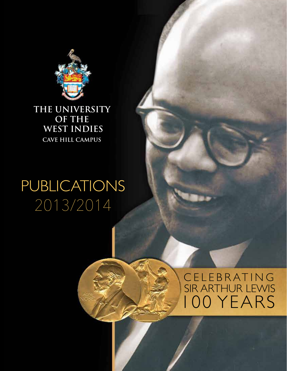

**THE UNIVERSITY OF THE WEST INDIES CAVE HILL CAMPUS**

## PUBLICATIONS 2013/2014

### CELEBRATING SIR ARTHUR LEWIS 100 YEARS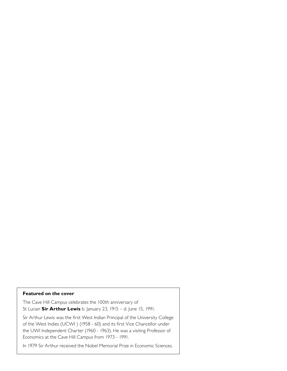#### **Featured on the cover**

The Cave Hill Campus celebrates the 100th anniversary of St Lucian **Sir Arthur Lewis** b. January 23, 1915 – d. June 15, 1991.

Sir Arthur Lewis was the first West Indian Principal of the University College of the West Indies (UCWI ) (1958 - 60) and its first Vice Chancellor under the UWI Independent Charter (1960 - 1963). He was a visiting Professor of Economics at the Cave Hill Campus from 1973 - 1991.

In 1979 Sir Arthur received the Nobel Memorial Prize in Economic Sciences.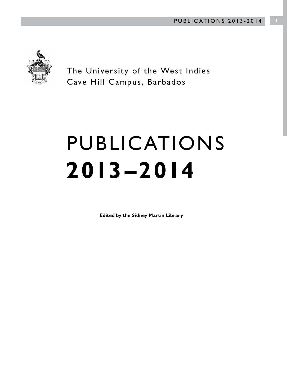

The University of the West Indies Cave Hill Campus, Barbados

# PUBLICATIONS **2013 –2014**

**Edited by the Sidney Martin Library**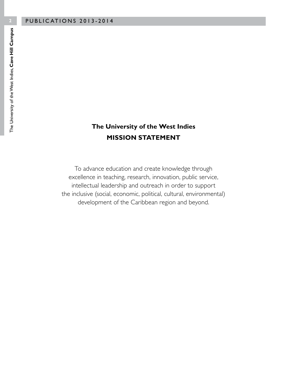#### **The University of the West Indies MISSION STATEMENT**

To advance education and create knowledge through excellence in teaching, research, innovation, public service, intellectual leadership and outreach in order to support the inclusive (social, economic, political, cultural, environmental) development of the Caribbean region and beyond.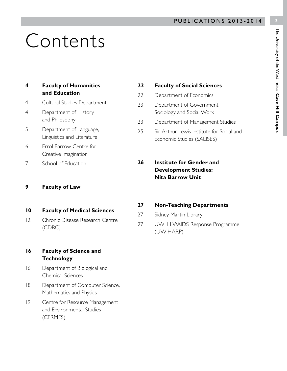## Contents

| 4 | <b>Faculty of Humanities</b> |
|---|------------------------------|
|   | and Education                |

- 4 Cultural Studies Department
- 4 Department of History and Philosophy
- 5 Department of Language, Linguistics and Literature
- 6 Errol Barrow Centre for Creative Imagination
- 7 School of Education

#### **9 Faculty of Law**

- **10 Faculty of Medical Sciences**
- 12 Chronic Disease Research Centre (CDRC)

#### **16 Faculty of Science and Technology**

- 16 Department of Biological and Chemical Sciences
- 18 Department of Computer Science, Mathematics and Physics
- 19 Centre for Resource Management and Environmental Studies (CERMES)

#### **22 Faculty of Social Sciences**

- 22 Department of Economics
- 23 Department of Government, Sociology and Social Work
- 23 Department of Management Studies
- 25 Sir Arthur Lewis Institute for Social and Economic Studies (SALISES)
- **26 Institute for Gender and Development Studies: Nita Barrow Unit**

#### **27 Non-Teaching Departments**

- 27 Sidney Martin Library
- 27 UWI HIV/AIDS Response Programme (UWIHARP)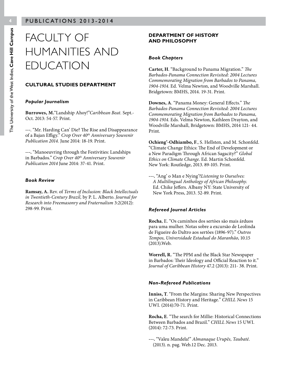### FACULTY OF HUMANITIES AND EDUCATION

#### **CULTURAL STUDIES DEPARTMENT**

#### *Popular Journalism*

**Burrowes, M.**"Landship Ahoy!"*Caribbean Beat.* Sept.- Oct. 2013: 54-57. Print.

**---**. "Mr. Harding Can' Die? The Rise and Disappearance of a Bajan Effigy." *Crop Over 40th Anniversary Souvenir Publication 2014.* June 2014: 18-19. Print.

**---.** "Manoeuvring through the Festivities: Landships in Barbados." *Crop Over 40th Anniversary Souvenir Publication 2014* June 2014: 37-41. Print.

#### *Book Review*

**Ramsay, A.** Rev. of *Terms of Inclusion: Black Intellectuals in Twentieth-Century Brazil,* by P. L. Alberto. *Journal for Research into Freemasonry and Fraternalism* 3:2(2012): 298-99. Print.

#### **DEPARTMENT OF HISTORY AND PHILOSOPHY**

#### *Book Chapters*

**Carter, H**. "Background to Panama Migration." *The Barbados-Panama Connection Revisited: 2004 Lectures Commemorating Migration from Barbados to Panama, 1904-1914*. Ed. Velma Newton, and Woodville Marshall. Bridgetown: BMHS, 2014. 19-31. Print.

**Downes, A**. "Panama Money: General Effects." *The Barbados-Panama Connection Revisited: 2004 Lectures Commemorating Migration from Barbados to Panama, 1904-1914*. Eds. Velma Newton, Kathleen Drayton, and Woodville Marshall, Bridgetown: BMHS, 2014 121- 44. Print.

**Ochieng'-Odhiambo, F**., S. Hellsten, and M. Schonfeld. "Climate Change Ethics: The End of Development or a New Paradigm Through African Sagacity?" *Global Ethics on Climate Change*. Ed. Martin Schonfeld. New York: Routledge, 2013. 89-105. Print.

**---.** "Ang' o Man e Nying'?*Listening to Ourselves: A Multilingual Anthology of African Philosophy*. Ed. Chike Jeffers. Albany NY: State University of New York Press, 2013. 52-89. Print.

#### *Refereed Journal Articles*

**Rocha**, E. "Os caminhos dos sertòes são mais árduos para uma mulher. Notas sobre a excursão de Leolinda de Figueire do Daltro aos sertões (1896-97)." *Outros Tempos, Universidade Estadual do Maranhão*, 10.15 (2013).Web.

**Worrell, R.** "The PPM and the Black Star Newspaper in Barbados: Their Ideology and Official Reaction to it." *Journal of Caribbean History* 47.2 (2013): 211- 38. Print.

#### *Non-Refereed Publications*

**Inniss, T**. "From the Margins: Sharing New Perspectives in Caribbean History and Heritage." *CHILL News* 15 UWI. (2014):70-71. Print.

**Rocha, E**. "The search for Millie: Historical Connections Between Barbados and Brazil." *CHILL News* 15 UWI. (2014): 72-73. Print.

**---.** "Valeu Mandela!" *Almanaque Urupês, Taubaté*. (2013). n. pag. Web.12 Dec. 2013.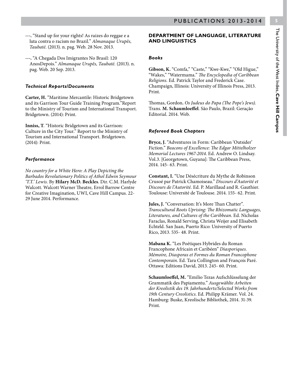The University of the West Indies, Cave Hill Campus The University of the West Indies, **Cave Hill Campus**

- **---.** "Stand up for your rights! As raizes do reggae e a luta contra o racism no Brazil." *Almanaque Urupês, Taubaté.* (2013). n. pag. Web. 28 Nov. 2013*.*
- **---.** "A Chegada Dos Imigrantes No Brasil: 120 AnosDepois." *Almanaque Urupês, Taubaté.* (2013). n. pag. Web. 20 Sep. 2013.

#### *Technical Reports/Documents*

**Carter, H.** "Maritime Mercantile: Historic Bridgetown and its Garrison Tour Guide Training Program."Report to the Ministry of Tourism and International Transport. Bridgetown. (2014): Print.

**Inniss, T**. "Historic Bridgetown and its Garrison: Culture in the City Tour." Report to the Ministry of Tourism and International Transport. Bridgetown. (2014): Print.

#### *Performance*

*No country for a White Hero: A Play Depicting the Barbados Revolutionary Politics of Athol Edwin Seymour 'T.T.' Lewis.* By **Hilary McD. Beckles**. Dir. C.M. Harlyde Walcott. Walcott Warner Theatre, Errol Barrow Centre for Creative Imagination, UWI, Cave Hill Campus. 22- 29 June 2014. Performance.

#### **DEPARTMENT OF LANGUAGE, LITERATURE AND LINGUISTICS**

#### *Books*

**Gibson, K.** "Comfa," "Caste," "Kwe-Kwe," "Old Higue," "Wakes," "Watermama." *The Encyclopedia of Caribbean Religions.* Ed. Patrick Taylor and Frederick Case. Champaign, Illinois: University of Illinois Press, 2013. Print.

Thomas, Gordon*. Os Judeus do Papa (The Pope's Jews).* Trans. **M. Schaumloeffel**. São Paulo, Brazil: Geração Editorial. 2014. Web.

#### *Refereed Book Chapters*

**Bryce, J.** "Adventures in Form: Caribbean 'Outsider' Fiction." *Beacons of Excellence: The Edgar Mittelholzer Memorial Lectures 1967-2014*. Ed. Andrew O. Lindsay. Vol.3. [Georgetown, Guyana]: The Caribbean Press, 2014. 145- 63. Print.

**Constant, I.** "Une Désécriture du Mythe de Robinson Crusoé par Patrick Chamoiseau." *Discours d'Autorité et Discours de l'Autorité.* Ed. P. Marillaud and R. Gauthier. Toulouse: Université de Toulouse. 2014. 155- 62. Print.

Jules, J. "Conversation: It's More Than Chatter". *Transcultural Roots Uprising: The Rhizomatic Languages, Literatures, and Cultures of the Caribbean*. Ed. Nicholas Faraclas, Ronald Serving, Christa Weijer and Elisabeth Echteld. San Juan, Puerto Rico: University of Puerto Rico, 2013. 535- 48. Print.

**Mabana K.** "Les Poétiques Hybrides du Roman Francophone Africain et Caribéen" *Diasporiques. Mémoire, Diasporas et Formes du Roman Francophone Contemporain*. Ed. Tara Collington and François Paré. Ottawa: Editions David, 2013. 245- 60. Print.

**Schaumloeffel, M.** "Emilio Tezas Aufschlüsselung der Grammatik des Papiamentu." *Ausgewählte Arbeiten der Kreolistik des 19. Jahrhunderts/Selected Works from 19th Century Creolistics*. Ed. Philipp Krämer. Vol. 24. Hamburg: Buske, Kreolische Bibliothek, 2014. 31-39. Print.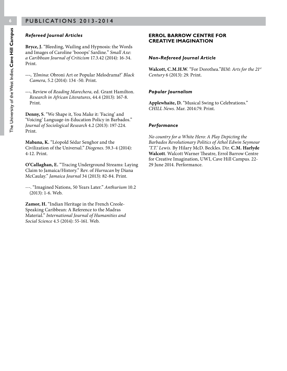#### *Refereed Journal Articles*

**Bryce, J.** "Bleeding, Wailing and Hypnosis: the Words and Images of Caroline 'booops' Sardine." *Small Axe*: *a Caribbean Journal of Criticism* 17.3.42 (2014): 16-34. Print.

- **---.** *'Elmina*: Obroni Art or Popular Melodrama?' *Black Camera,* 5.2 (2014): 134 -50. Print.
- **---.** Review of *Reading Marechera,* ed. Grant Hamilton. *Research in African Literatures*, 44.4 (2013): 167-8. Print.

**Denny, S**. "We Shape it, You Make it: 'Facing' and 'Voicing' Language-in-Education Policy in Barbados." *Journal of Sociological Research* 4.2 (2013): 197-224. Print.

**Mabana, K.** "Léopold Sédar Senghor and the Civilization of the Universal." *Diogenes*. 59.3-4 (2014): 4-12. Print.

**O'Callaghan, E.** "Tracing Underground Streams: Laying Claim to Jamaica/History." Rev. of *Hurracan* by Diana McCaulay." *Jamaica Journal* 34 (2013): 82-84. Print.

---. "Imagined Nations, 50 Years Later." *Anthurium* 10.2 (2013): 1-6. Web.

**Zamor, H.** "Indian Heritage in the French Creole-Speaking Caribbean: A Reference to the Madras Material." *International Journal of Humanities and Social Science* 4.5 (2014): 55-161. Web.

#### **ERROL BARROW CENTRE FOR CREATIVE IMAGINATION**

#### *Non-Refereed Journal Article*

**Walcott, C.M.H.W**. "For Dorothea."*BIM: Arts for the 21st Century* 6 (2013): 29. Print.

#### *Popular Journalism*

**Applewhaite, D.** "Musical Swing to Celebrations." *CHILL News.* Mar. 2014:79. Print.

#### *Performance*

*No country for a White Hero: A Play Depicting the Barbados Revolutionary Politics of Athol Edwin Seymour 'T.T.' Lewis.* By Hilary McD. Beckles. Dir. **C.M. Harlyde Walcott**. Walcott Warner Theatre, Errol Barrow Centre for Creative Imagination, UWI, Cave Hill Campus. 22- 29 June 2014. Performance.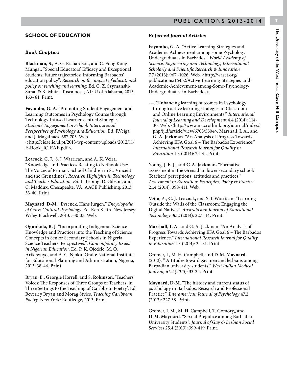#### **SCHOOL OF EDUCATION**

#### *Book Chapters*

**Blackman, S**., A. G. Richardson, and C. Fong Kong-Mungal. "Special Educators' Efficacy and Exceptional Students' future trajectories: Informing Barbados' education policy". *Research on the impact of educational policy on teaching and learning.* Ed. C. Z. Szymanski-Sunal & K. Muta . Tuscaloosa, AL: U of Alabama, 2013. 163- 81**.** Print.

**Fayombo, G. A.** "Promoting Student Engagement and Learning Outcomes in Psychology Course through Technology Infused Learner-centred Strategies." *Students' Engagement in School: International Perspectives of Psychology and Education*. Ed. F.Veiga and J. Magalhaes. 687-703. Web. < http://cieae.ie.ul.pt/2013/wp-content/uploads/2012/11/ E-Book\_ICIEAE.pdf.>.

**Leacock, C. J.**, S. J. Warrican, and A. K. Veira. "Knowledge and Practices Relating to Netbook Use: The Voices of Primary School Children in St. Vincent and the Grenadines". *Research Highlights in Technology and Teacher Education. Ed.* L. Leping, D. Gibson, and C. Maddux. Chesapeake, VA: AACE Publishing, 2013. 33-40. Print

**Maynard, D-M.** "Eysenck, Hans Jurgen." *Encyclopedia of Cross-Cultural Psychology*. Ed. Ken Keith. New Jersey: Wiley-Blackwell, 2013. 530-33. Web.

**Ogunkola, B. J**. "Incorporating Indigenous Science Knowledge and Practices into the Teaching of Science Concepts in Senior Secondary Schools in Nigeria: Science Teachers' Perspectives". *Contemporary Issues in Nigerian Education.* Ed*.* P. K. Ojedele, M. O. Arikewuyo, and A. C. Njoku. Ondo: National Institute for Educational Planning and Administration, Nigeria, 2013. 38-46. **Print.**

Bryan, B., Georgie Horrell, and S. **Robinson**. 'Teachers' Voices: The Responses of Three Groups of Teachers, in Three Settings to the Teaching of Caribbean Poetry'. Ed. Beverley Bryan and Morag Styles. *Teaching Caribbean Poetry.* New York: Routledge, 2013. Print.

#### *Refereed Journal Articles*

**Fayombo, G. A.** "Active Learning Strategies and Academic Achievement among some Psychology Undergraduates in Barbados". *World Academy of Science, Engineering and Technology; International Scholarly and Scientific Research & Innovation*  7.7 (2013): 967 -1026. Web. <http://waset.org/ publications/16432/Active-Learning-Strategies-and-Academic-Achievement-among-Some-Psychology-Undergraduates-in-Barbados>.

**---.** "Enhancing learning outcomes in Psychology through active learning strategies in Classroom and Online Learning Environments." *International Journal of Learning and Developmen*t 4.4 (2014): 114- 30. Web. <http://www.macrothink.org/journal/index/. php/ijld/article/view/6703/5504>. Marshall, I. A., and **G. A. Jackman**. "An Analysis of Progress Towards Achieving EFA Goal 6 – The Barbados Experience." *International Research Journal for Quality in Education* 1.3 (2014): 24-31. Print.

Young, J. E. J., and **G-A. Jackman.** "Formative assessment in the Grenadian lower secondary school: Teachers' perceptions, attitudes and practices." *Assessment in Education: Principles, Policy & Practice* 21.4 (2014): 398-411. Web.

Veira, A., **C. J. Leacock,** and S. J. Warrican. "Learning Outside the Walls of the Classroom: Engaging the Digital Natives". *Australasian Journal of Educational Technology 30*.2 (2014): 227- 44**.** Print.

**Marshall, I. A**., and G. A. Jackman. "An Analysis of Progress Towards Achieving EFA Goal 6 – The Barbados Experience." *International Research Journal for Quality in Education* 1.3 (2014): 24-31. Print

Gromer, J., M. H. Campbell, and **D-M. Maynard.** (2013). " Attitudes toward gay men and lesbians among Barbadian university students." *West Indian Medical Journal, 61.2 (2013):* 33-34. Print.

**Maynard, D-M.** "The history and current status of psychology in Barbados: Research and Professional Practice". *Interamerican Journal of Psychology* 47.2 (2013): 227-38. Print**.**

Gromer, J. M., M. H. Campbell, T. Gomory,, and **D-M. Maynard**. "Sexual Prejudice among Barbadian University Students". *Journal of Gay & Lesbian Social Services* 25.4 (2013): 399-419. Print.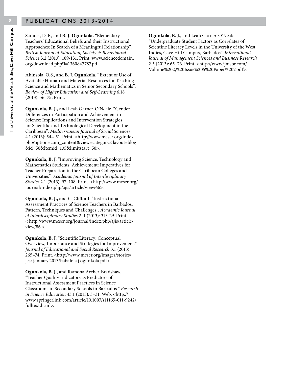Samuel, D. F., and **B. J. Ogunkola.** "Elementary Teachers' Educational Beliefs and their Instructional Approaches: In Search of a Meaningful Relationship". *British Journal of Education, Society & Behavioural Science* 3.2 (2013): 109-131. Print. www.sciencedomain. org/download.php?f=1360847787.pdf.

Akinsola, O.S., and **B. J. Ogunkola. "**Extent of Use of Available Human and Material Resources for Teaching Science and Mathematics in Senior Secondary Schools". *Review of Higher Education and Self-Learning* 6.18 (2013): 56–75**.** Print.

**Ogunkola, B. J.,** and Leah Garner-O'Neale. "Gender Differences in Participation and Achievement in Science: Implications and Intervention Strategies for Scientific and Technological Development in the Caribbean". *Mediterranean Journal of Social* Sciences 4.1 (2013): 544-51. Print*. <*http://www.mcser.org/index. php?option=com\_content&view=category&layout=blog &id=50&Itemid=135&limitstart=50>.

**Ogunkola, B. J**. "Improving Science, Technology and Mathematics Students' Achievement: Imperatives for Teacher Preparation in the Caribbean Colleges and Universities". *Academic Journal of Interdisciplinary Studies* 2.1 (2013): 97–108. Print. <http://www.mcser.org/ journal/index.php/ajis/article/view/66>.

**Ogunkola, B. J.,** and C. Clifford. "Instructional Assessment Practices of Science Teachers in Barbados: Pattern, Techniques and Challenges". *Academic Journal of Interdisciplinary Studies* 2 .1 (2013): 313-29. Print. < http://www.mcser.org/journal/index.php/ajis/article/ view/86.>.

**Ogunkola, B. J**. "Scientific Literacy: Conceptual Overview, Importance and Strategies for Improvement." *Journal of Educational and Social Research* 3.1 (2013): 265–74. Print. <http://www.mcser.org/images/stories/ jesr.january.2013/babalola.j.ogunkola.pdf>.

**Ogunkola, B. J**., and Ramona Archer-Bradshaw. "Teacher Quality Indicators as Predictors of Instructional Assessment Practices in Science Classrooms in Secondary Schools in Barbados." *Research in Science Education* 43.1 (2013): 3–31. Web. <http:// www.springerlink.com/article/10.1007/s11165-011-9242/ fulltext.html>.

**Ogunkola, B. J.,** and Leah Garner-O'Neale. "Undergraduate Student Factors as Correlates of Scientific Literacy Levels in the University of the West Indies, Cave Hill Campus, Barbados". *International Journal of Management Sciences and Business Research*  2.5 (2013): 65–73. Print. <http://www.ijmsbr.com/ Volume%202,%20Issue%205%20Paper%207.pdf>.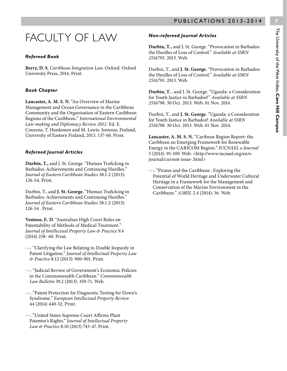### FACULTY OF LAW

#### *Refereed Book*

**Berry, D. S**. *Caribbean Integration Law*. Oxford: Oxford University Press, 2014. Print.

#### *Book Chapter*

**Lancaster, A. M. S. N**. "An Overview of Marine Management and Ocean Governance in the Caribbean Community and the Organisation of Eastern Caribbean Regions of the Caribbean." *International Environmental Law-making and Diplomacy Review 2012.* Ed. E. Couzens, T. Honkonen and M. Lewis. Joensuu, Finland, University of Eastern Finland, 2013. 137-60. Print.

#### *Refereed Journal Articles*

**Durbin, T.,** and J. St. George. "Human Traficking in Barbados: Achievements and Continuing Hurdles." *Journal of Eastern Caribbean Studies* 38.1-2 (2013): 126-54. Print.

Durbin, T., and **J. St. George.** "Human Traficking in Barbados: Achievements and Continuing Hurdles." *Journal of Eastern Caribbean Studies* 38.1-2 (2013): 126-54 . Print.

**Ventose, E. D**. "Australian High Court Rules on Patentability of Methods of Medical Treatment." *Journal of Intellectual Property Law & Practice* 9.4 (2014) 258- 60. Print.

---. "Clarifying the Law Relating to Double Jeopardy in Patent Litigation." *Journal of Intellectual Property Law & Practice* 8.12 (2013): 900-901. Print.

---. "Judicial Review of Government's Economic Policies in the Commonwealth Caribbean." *Commonwealth Law Bulletin* 39.2 (2013): 359-71. Web.

---. "Patent Protection for Diagnostic Testing for Down's Syndrome." *European Intellectual Property Review* 44 (2014) 440-52. Print.

---. "United States Supreme Court Affirms Plant Patentee's Rights." *Journal of Intellectual Property Law & Practice* 8.10 (2013) 745-47. Print.

#### *Non-refereed Journal Articles*

**Durbin, T.,** and J. St. George. "Provocation in Barbados: the Hurdles of Loss of Control." *Available at SSRN 2516795.* 2013. Web.

Durbin, T., and **J. St. George.** "Provocation in Barbados: the Hurdles of Loss of Control." *Available at SSRN 2516795.* 2013. Web.

**Durbin, T.** , and J. St. George. "Uganda: a Consideration for Youth Justice in Barbados?" *Available at SSRN 2516798.* 30 Oct. 2013. Web. 01 Nov. 2014.

Durbin, T., and **J. St. George**. "Uganda: a Consideration for Youth Justice in Barbados? *Available at SSRN 2516798.* 30 Oct. 2013. Web. 01 Nov. 2014.

**Lancaster, A. M. S. N.** "Caribean Region Report: the Caribbean an Emerging Framework for Renewable Energy in the CARICOM Region." *IUCNAEL e-Journal* 5 (2014): 95-109. Web. <http://www.iucnael.org/en/ejournal/current-issue-.html>

---**.** "Pirates and the Caribbean : Exploring the Potential of World Heritage and Underwater Cultural Heritage in a Framework for the Management and Conservation of the Marine Environment in the Caribbean." *A38JIL* 2.4 (2014): 36. Web.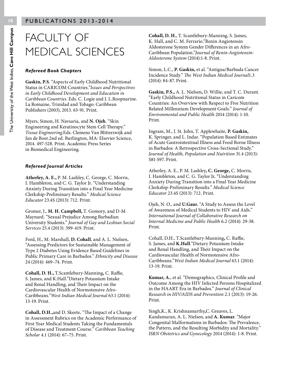### FACULTY OF MEDICAL SCIENCES

#### *Refereed Book Chapters*

**Gaskin, P.S**. "Aspects of Early Childhood Nutritional Status in CARICOM Countries."*Issues and Perspectives in Early Childhood Development and Education in Caribbean Countries*. Eds. C. Logie and J. L.Roopnarine. La Romaine, Trinidad and Tobago: Caribbean Publishers (2003), 2013. 63-91. Print.

Myers, Simon, H. Navsaria, and **N. Ojeh**. "Skin Engineering and Keratinocyte Stem Cell Therapy." *Tissue Engineering*.Eds. Clemens Van Blitterswijk and Jan de Boer.2nd ed. Burlington, MA: Elsevier Science, 2014. 497-528. Print. Academic Press Series in Biomedical Engineering.

#### *Refereed Journal Articles*

**Atherley, A. E.,** P. M. Lashley, C. George, C. Morris, I. Hambleton, and C. G. Taylor Jr. "Understanding Anxiety During Transition into a Final Year Medicine Clerkship-Preliminary Results." *Medical Science Educator* 23.4S (2013): 712. Print.

Gromer, J., **M. H. Campbell,** T. Gomory, and D-M Maynard. "Sexual Prejudice Among Barbadian University Students." *Journal of Gay and Lesbian Social Services* 25.4 (2013): 399-419. Print.

Ford, H., M. Marshall, **D. Cohall**, and A. L. Nielsen**.** "Assessing Predictors for Sustainable Management of Type 2 Diabetes Using Evidence Based Guidelines in Public Primary Care in Barbados." *Ethnicity and Disease*  24 (2014): 469–74. Print.

**Cohall, D. H.,** T.Scantlebury-Manning**,** C. Raffie, S. James, and K.Hall."Dietary Potassium Intake and Renal Handling, and Their Impact on the Cardiovascular Health of Normotensive Afro-Caribbeans."*West Indian Medical Journal* 63.1 (2014): 13-19. Print.

**Cohall, D.H.,**and D. Skeete**.** "The Impact of a Change in Assessment Rubrics on the Academic Performance of First Year Medical Students Taking the Fundamentals of Disease and Treatment Course." *Caribbean Teaching Scholar* 4.1 (2014): 67–75. Print.

**Cohall, D. H.**, T. Scantlebury-Manning, S. James, K. Hall, and C. M. Ferrario."Renin Angiotensin Aldosterone System Gender Differences in an Afro-Caribbean Population."*Journal of Renin-Angiotensin-Aldosterone System* (2014):1-8. Print.

Simon, L.C., **P. Gaskin,** et al. "Antigua/Barbuda Cancer Incidence Study." *The West Indian Medical Journal*1.3 (2014): 84-87. Print.

**Gaskin, P.S.,** A. L. Nielsen**,** D. Willie, and T. C. Durant. "Early Childhood Nutritional Status in Caricom Countries: An Overview with Respect to Five Nutrition Related Millennium Development Goals." *Journal of Environmental and Public Health* 2014 (2014): 1-10. Print.

Ingram, M., J. St. John, T. Applewhaite, **P. Gaskin,**  K. Springer, and L. Indar. "Population Based Estimates of Acute Gastrointestinal Illness and Food Borne Illness in Barbados: A Retrospective Cross-Sectional Study." *Journal of Health, Population and Nutrition* 31.4 (2013): S81-S97. Print.

Atherley, A. E., P. M. Lashley**, C. George,** C. Morris, I. Hambleton, and C. G. Taylor Jr**.** "Understanding Anxiety During Transition into a Final Year Medicine Clerkship-Preliminary Results." *Medical Science Educator* 23.4S (2013): 712. Print.

Ojeh, N. O., and **U.Gaur.** "A Study to Assess the Level of Awareness of Medical Students to HIV and Aids." *International Journal of Collaborative Research on Internal Medicine and Public Health* 6.2 (2014): 29-38. Print.

Cohall, D.H., T.Scantlebury-Manning**,** C. Raffie, S. James, and **K.Hall**."Dietary Potassium Intake and Renal Handling, and Their Impact on the Cardiovascular Health of Normotensive Afro-Caribbeans."*West Indian Medical Journal* 63.1 (2014): 13-19. Print.

**Kumar, A.**, et al. "Demographics, Clinical Profile and Outcome Among the HIV Infected Persons Hospitalized in the HAART Era in Barbados." *Journal of Clinical Research in HIV/AIDS and Prevention* 2.1 (2013): 19-26. Print.

Singh,K., K. Krishnamurthy**,**C. Greaves, L. Kandamaran, A. L. Nielsen, and **A. Kumar.** "Major Congenital Malformations in Barbados: The Prevalence, the Pattern, and the Resulting Morbidity and Mortality." *ISRN Obstetrics and Gynecology* 2014 (2014): 1-8. Print.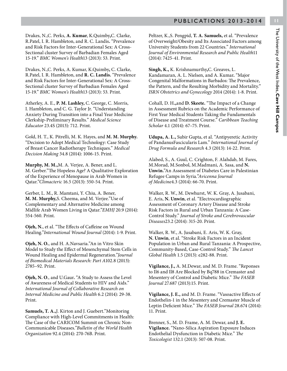Drakes, N.,C. Perks, **A. Kumar**, K.Quimby**,**C. Clarke, R.Patel, I. R. Hambleton, and R. C. Landis**.** "Prevalence and Risk Factors for Inter-Generational Sex: A Cross-Sectional cluster Survey of Barbadian Females Aged 15-19." *BMC Women's Health*13 (2013): 53. Print.

Drakes, N.,C. Perks, A. Kumar, K.Quimby**,** C. Clarke, R.Patel, I. R. Hambleton, and **R. C. Landis.** "Prevalence and Risk Factors for Inter-Generational Sex: A Cross-Sectional cluster Survey of Barbadian Females Aged 15-19." *BMC Women's Health*13 (2013): 53. Print.

Atherley, A. E., **P. M. Lashley,** C. George, C. Morris, I. Hambleton, and C. G. Taylor Jr. "Understanding Anxiety During Transition into a Final Year Medicine Clerkship-Preliminary Results." *Medical Science Educator* 23.4S (2013): 712. Print.

Gold, H. T., K. Pitrelli, M. K. Hayes, and **M. M. Murphy.** "Decision to Adopt Medical Technology: Case Study of Breast Cancer Radiotherapy Techniques." *Medical Decision Making* 34.8 (2014): 1006-15. Print.

**Murphy, M. M.,**M. A. Verjee, A. Bener, and L. M. Gerber."The Hopeless Age? A Qualitative Exploration of the Experience of Menopause in Arab Women in Qatar."*Climacteric* 16.5 (2013): 550-54. Print.

Gerber, L. M., R. Mamtani, Y. Chiu, A. Bener, **M. M. Murphy,**S. Cheema, and M. Verjee."Use of Complementary and Alternative Medicine among Midlife Arab Women Living in Qatar."*EMHJ* 20.9 (2014): 554-560. Print.

**Ojeh, N.**, et al. "The Effects of Caffeine on Wound Healing."*International Wound Journal* (2014): 1-9. Print.

**Ojeh, N. O.**, and H. A.Navsaria."An in Vitro Skin Model to Study the Effect of Mesenchymal Stem Cells in Wound Healing and Epidermal Regeneration."*Journal of Biomedical Materials Research: Part A*102.8 (2013): 2785–92. Print.

**Ojeh, N. O**., and U.Gaur**.** "A Study to Assess the Level of Awareness of Medical Students to HIV and Aids." *International Journal of Collaborative Research on Internal Medicine and Public Health* 6.2 (2014): 29-38. Print.

**Samuels, T. A.,**J. Kirton and J. Guebert."Monitoring Compliance with High-Level Commitments in Health: The Case of the CARICOM Summit on Chronic Non-Communicable Diseases."*Bulletin of the World Health Organization* 92.4 (2014): 270-76B. Print.

Peltzer, K.,S. Pengpid, **T. A. Samuels,** et al. "Prevalence of Overweight/Obesity and Its Associated Factors among University Students from 22 Countries." *International Journal of Environmental Research and Public Health*11 (2014): 7425-41. Print.

**Singh, K.,** K. Krishnamurthy**,**C. Greaves, L. Kandamaran, A. L. Nielsen, and A. Kumar**.** "Major Congenital Malformations in Barbados: The Prevalence, the Pattern, and the Resulting Morbidity and Mortality." *ISRN Obstetrics and Gynecology* 2014 (2014): 1-8. Print.

Cohall, D. H**.,**and **D. Skeete.** "The Impact of a Change in Assessment Rubrics on the Academic Performance of First Year Medical Students Taking the Fundamentals of Disease and Treatment Course." *Caribbean Teaching Scholar* 4.1 (2014): 67–75. Print.

**Udupa, A. L.,** Subir Gupta, et al. "Antipyeretic Activity of PandanusFascicularis Lam." *International Journal of Drug Formula and Research* 4.3 (2013): 14-22. Print.

Alabed, S., A. Guul, C. Crighton, F. Alahdab, M. Fares, M.Morad, M.Sonbol, M.Madmani, A. Sasa, and **N. Unwin.**"An Assessment of Diabetes Care in Palestinian Refugee Camps in Syria."*Avicenna Journal of Medicine*4.3 (2014): 66-70. Print.

Walker, R. W., M. Dewhurst, W. K. Gray, A. Jusabani, E. Aris, **N. Unwin**, et al. "Electrocardiographic Assessment of Coronary Artery Disease and Stroke Risk Factors in Rural and Urban Tanzania: A Case-Control Study." *Journal of Stroke and Cerebrovascular Diseases*23.2 (2014): 315-20. Print.

Walker, R. W., A. Jusabani, E. Aris, W. K. Gray, **N. Unwin**, et al. "Stroke Risk Factors in an Incident Population in Urban and Rural Tanzania: A Prospective, Community-Based, Case-Control Study." *The Lancet Global Health* 1.5 (2013): e282-88. Print.

**Vigilance, J.,** A. M.Dewar, and M. D. Frame. "Reponses to Il6 and Il8 Are Blocked by Bq788 in Cremaster and Mesentery of Control and Diabetic Mice." *The FASEB Journal* 27.687 (2013):15. Print.

**Vigilance, J. E.,** and M. D. Frame. "Vasoactive Effects of Endothelin-1 in the Mesentery and Cremaster Muscle of Leptin Deficient Mice." *The FASEB Journal* 28.674 (2014): 11. Print.

Brenner, S., M. D. Frame, A. M. Dewar, and **J. E. Vigilance.** "Nano-Silica Aspiration Exposure Induces Endothelial Dysfunction in Diabetic Mice." *The Toxicologist* 132.1 (2013): 507-08. Print.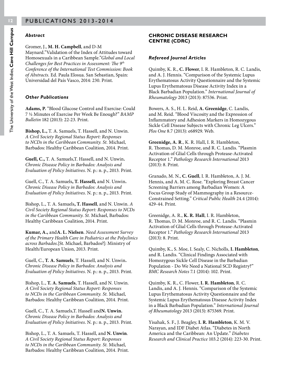#### *Abstract*

#### Gromer, J., **M. H. Campbell**, and D-M

Maynard."Validation of the Index of Attitudes toward Homosexuals in a Caribbean Sample."*Global and Local Challenges for Best Practices in Assessment: The 9th Conference of the International Test Commission: Book of Abstracts.* Ed. Paula Elosua. San Sebastian, Spain: Universidad del País Vasco, 2014: 230. Print.

#### *Other Publications*

**Adams, P.** "Blood Glucose Control and Exercise: Could 7 ½ Minutes of Exercise Per Week Be Enough?" *BAMP Bulletin* 182 (2013): 22-23. Print.

**Bishop, L.,** T. A. Samuels, T. Hassell, and N. Unwin. *A Civil Society Regional Status Report: Responses to NCDs in the Caribbean Community. St.* Michael, Barbados: Healthy Caribbean Coalition, 2014. Print.

**Guell, C.,** T. A. Samuels,T. Hassell, and N. Unwin**.**  *Chronic Disease Policy in Barbados: Analysis and Evaluation of Policy Initiatives*. N. p.: n. p., 2013. Print.

Guell, C., T. A. Samuels**, T. Hassell,** and N. Unwin**.**  *Chronic Disease Policy in Barbados: Analysis and Evaluation of Policy Initiatives*. N. p.: n. p., 2013. Print.

Bishop, L., T. A. Samuels**, T. Hassell**, and N. Unwin. *A Civil Society Regional Status Report: Responses to NCDs in the Caribbean Community. St.* Michael, Barbados: Healthy Caribbean Coalition, 2014. Print.

**Kumar, A.,** and**A. L. Nielsen**. *Need Assessment Survey of the Primary Health Care in Pediatrics at the Polyclinics across Barbados.*[St. Michael, Barbados?]: Ministry of Health/European Union, 2013. Print.

Guell, C., **T. A. Samuels**, T. Hassell, and N. Unwin**.**  *Chronic Disease Policy in Barbados: Analysis and Evaluation of Policy Initiatives*. N. p.: n. p., 2013. Print.

Bishop, L., **T. A. Samuels**, T. Hassell, and N. Unwin. *A Civil Society Regional Status Report: Responses to NCDs in the Caribbean Community. St.* Michael, Barbados: Healthy Caribbean Coalition, 2014. Print.

Guell, C., T. A. Samuels,T. Hassell and**N. Unwin.**  *Chronic Disease Policy in Barbados: Analysis and Evaluation of Policy Initiatives*. N. p.: n. p., 2013. Print.

Bishop, L., T. A. Samuels, T. Hassell, and **N. Unwin**. *A Civil Society Regional Status Report: Responses to NCDs in the Caribbean Community. St.* Michael, Barbados: Healthy Caribbean Coalition, 2014. Print.

#### **CHRONIC DISEASE RESEARCH CENTRE (CDRC)**

#### *Refereed Journal Articles*

Quimby, K. R., **C. Flower**, I. R. Hambleton, R. C. Landis, and A. J. Hennis. "Comparison of the Systemic Lupus Erythematosus Activity Questionnaire and the Systemic Lupus Erythematosus Disease Activity Index in a Black Barbadian Population." *International Journal of Rheumatology* 2013 (2013): 87536. Print.

Bowers, A. S., H. L. Reid, **A. Greenidge**, C. Landis, and M. Reid. "Blood Viscosity and the Expression of Inflammatory and Adhesion Markers in Homozygous Sickle Cell Disease Subjects with Chronic Leg Ulcers." *Plos One* 8.7 (2013): e68929. Web.

**Greenidge, A. R**., K. R. Hall, I. R. Hambleton, R. Thomas, D. M. Monroe, and R. C. Landis. "Plasmin Activation of Glial Cells through Protease-Activated Receptor 1." *Pathology Research International* 2013 (2013): 8. Print.

Granado, M. N., **C. Guell**, I. R. Hambleton, A. J. M. Hennis, and A. M. C. Rose. "Exploring Breast Cancer Screening Barriers among Barbadian Women: A Focus Group Study of Mammography in a Resource-Constrained Setting." *Critical Public Health* 24.4 (2014): 429-44. Print.

Greenidge, A. R., **K. R. Hall**, I. R. Hambleton, R. Thomas, D. M. Monroe, and R. C. Landis. "Plasmin Activation of Glial Cells through Protease-Activated Receptor 1." *Pathology Research International* 2013 (2013): 8. Print.

Quimby, K., S. Moe, I. Sealy, C. Nicholls, **I. Hambleton**, and R. Landis. "Clinical Findings Associated with Homozygous Sickle Cell Disease in the Barbadian Population - Do We Need a National SCD Registry?" *BMC Research Notes* 7.1 (2014): 102. Print.

Quimby, K. R., C. Flower, **I. R. Hambleton**, R. C. Landis, and A. J. Hennis. "Comparison of the Systemic Lupus Erythematosus Activity Questionnaire and the Systemic Lupus Erythematosus Disease Activity Index in a Black Barbadian Population." *International Journal of Rheumatology* 2013 (2013): 875369. Print.

Yisahak, S. F., J. Beagley, **I. R. Hambleton**, K. M. V. Narayan, and IDF Diabet Atlas. "Diabetes in North America and the Caribbean: An Update." *Diabetes Research and Clinical Practice* 103.2 (2014): 223-30. Print.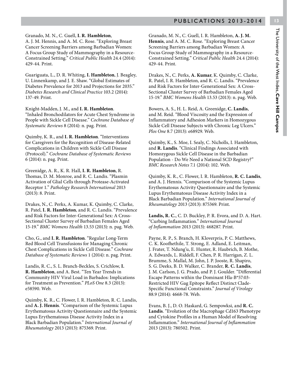A. J. M. Hennis, and A. M. C. Rose. "Exploring Breast Cancer Screening Barriers among Barbadian Women: A Focus Group Study of Mammography in a Resource-Constrained Setting." *Critical Public Health* 24.4 (2014): 429-44. Print.

Guariguata, L., D. R. Whiting, **I. Hambleton**, J. Beagley, U. Linnenkamp, and J. E. Shaw. "Global Estimates of Diabetes Prevalence for 2013 and Projections for 2035." *Diabetes Research and Clinical Practice* 103.2 (2014): 137-49. Print.

Knight-Madden, J. M., and **I. R. Hambleton**. "Inhaled Bronchodilators for Acute Chest Syndrome in People with Sickle Cell Disease." *Cochrane Database of Systematic Reviews* 8 (2014): n. pag. Print.

Quimby, K. R., and **I. R. Hambleton**. "Interventions for Caregivers for the Recognition of Disease-Related Complications in Children with Sickle Cell Disease (Protocol)." *Cochrane Database of Systematic Reviews* 6 (2014): n. pag. Print.

Greenidge, A. R., K. R. Hall, **I. R. Hambleton**, R. Thomas, D. M. Monroe, and R. C. Landis. "Plasmin Activation of Glial Cells through Protease-Activated Receptor 1." *Pathology Research International* 2013 (2013): 8. Print.

Drakes, N., C. Perks, A. Kumar, K. Quimby, C. Clarke, R. Patel, **I. R. Hambleton**, and R. C. Landis. "Prevalence and Risk Factors for Inter-Generational Sex: A Cross-Sectional Cluster Survey of Barbadian Females Aged 15-19." *BMC Womens Health* 13.53 (2013): n. pag. Web.

Cho, G., and **I. R. Hambleton**. "Regular Long-Term Red Blood Cell Transfusions for Managing Chronic Chest Complications in Sickle Cell Disease." *Cochrane Database of Systematic Reviews* 1 (2014): n. pag. Print.

Landis, R. C., S. L. Branch-Beckles, S. Crichlow, **I. R. Hambleton**, and A. Best. "Ten Year Trends in Community HIV Viral Load in Barbados: Implications for Treatment as Prevention." *PLoS One* 8.3 (2013): e58590. Web.

Quimby, K. R., C. Flower, I. R. Hambleton, R. C. Landis, and **A. J. Hennis**. "Comparison of the Systemic Lupus Erythematosus Activity Questionnaire and the Systemic Lupus Erythematosus Disease Activity Index in a Black Barbadian Population." *International Journal of Rheumatology* 2013 (2013): 875369. Print.

Granado, M. N., C. Guell, I. R. Hambleton, **A. J. M. Hennis**, and A. M. C. Rose. "Exploring Breast Cancer Screening Barriers among Barbadian Women: A Focus Group Study of Mammography in a Resource-Constrained Setting." *Critical Public Health* 24.4 (2014): 429-44. Print.

Drakes, N., C. Perks, **A. Kumar**, K. Quimby, C. Clarke, R. Patel, I. R. Hambleton, and R. C. Landis. "Prevalence and Risk Factors for Inter-Generational Sex: A Cross-Sectional Cluster Survey of Barbadian Females Aged 15-19." *BMC Womens Health* 13.53 (2013): n. pag. Web.

Bowers, A. S., H. L. Reid, A. Greenidge, **C. Landis**, and M. Reid. "Blood Viscosity and the Expression of Inflammatory and Adhesion Markers in Homozygous Sickle Cell Disease Subjects with Chronic Leg Ulcers." *Plos One* 8.7 (2013): e68929. Web.

Quimby, K., S. Moe, I. Sealy, C. Nicholls, I. Hambleton, and **R. Landis**. "Clinical Findings Associated with Homozygous Sickle Cell Disease in the Barbadian Population - Do We Need a National SCD Registry?" *BMC Research Notes* 7.1 (2014): 102. Web.

Quimby, K. R., C. Flower, I. R. Hambleton, **R. C. Landis**, and A. J. Hennis. "Comparison of the Systemic Lupus Erythematosus Activity Questionnaire and the Systemic Lupus Erythematosus Disease Activity Index in a Black Barbadian Population." *International Journal of Rheumatology* 2013 (2013): 875369. Print.

**Landis, R. C.**, C. D. Buckley, P. R. Evora, and D. A. Hart. "Curbing Inflammation." *International Journal of Inflammation* 2013 (2013): 468287. Print.

Payne, R. P., S. Branch, H. Kloverpris, P. C. Matthews, C. K. Koofhethile, T. Strong, E. Adland, E. Leitman, J. Frater, T. Ndung'u, E. Hunter, R. Haubrich, B. Mothe, A. Edwards, L. Riddell, F. Chen, P. R. Harrigan, Z. L. Brumme, S. Mallal, M. John, J. P. Jooste, R. Shapiro, S. G. Deeks, B. D. Walker, C. Brander, **R. C. Landis**, J. M. Carlson, J. G. Prado, and P. J. Goulder. "Differential Escape Patterns within the Dominant Hla-B\*57:03- Restricted HIV Gag Epitope Reflect Distinct Clade-Specific Functional Constraints." *Journal of Virology*  88.9 (2014): 4668-78. Web.

Evans, B. J., D. O. Haskard, G. Sempowksi, and **R. C. Landis**. "Evolution of the Macrophage Cd163 Phenotype and Cytokine Profiles in a Human Model of Resolving Inflammation." *International Journal of Inflammation*  2013 (2013): 780502. Print.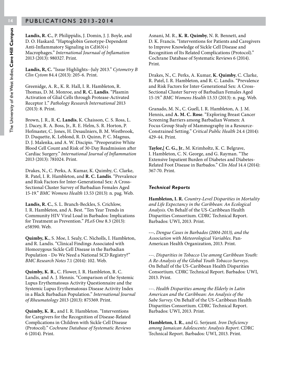**Landis, R. C.**, P. Philippidis, J. Domin, J. J. Boyle, and D. O. Haskard. "Haptoglobin Genotype-Dependent Anti-Inflammatory Signaling in Cd163(+) Macrophages." *International Journaal of Inflamation*  2013 (2013): 980327. Print.

**Landis, R, C.** "Issue Highlights--July 2013." *Cytometry B Clin Cytom* 84.4 (2013): 205-6. Print.

Greenidge, A. R., K. R. Hall, I. R. Hambleton, R. Thomas, D. M. Monroe, and **R. C. Landis**. "Plasmin Activation of Glial Cells through Protease-Activated Receptor 1." *Pathology Research International* 2013 (2013): 8. Print.

Brown, J. R., R. **C. Landis**, K. Chaisson, C. S. Ross, L. J. Dacey, R. A. Boss, Jr., R. E. Helm, S. R. Horton, P. Hofmaster, C. Jones, H. Desaulniers, B. M. Westbrook, D. Duquette, K. Leblond, R. D. Quinn, P. C. Magnus, D. J. Malenka, and A. W. Discipio. "Preoperative White Blood Cell Count and Risk of 30-Day Readmission after Cardiac Surgery." *International Journal of Inflammation*  2013 (2013): 781024. Print.

Drakes, N., C. Perks, A. Kumar, K. Quimby, C. Clarke, R. Patel, I. R. Hambleton, and **R. C. Landis**. "Prevalence and Risk Factors for Inter-Generational Sex: A Cross-Sectional Cluster Survey of Barbadian Females Aged 15-19." *BMC Womens Health* 13.53 (2013): n. pag. Web.

**Landis, R. C.**, S. L. Branch-Beckles, S. Crichlow, I. R. Hambleton, and A. Best. "Ten Year Trends in Community HIV Viral Load in Barbados: Implications for Treatment as Prevention." *PLoS One* 8.3 (2013): e58590. Web.

**Quimby, K.**, S. Moe, I. Sealy, C. Nicholls, I. Hambleton, and R. Landis. "Clinical Findings Associated with Homozygous Sickle Cell Disease in the Barbadian Population - Do We Need a National SCD Registry?" *BMC Research Notes* 7.1 (2014): 102. Web.

**Quimby, K. R.**, C. Flower, I. R. Hambleton, R. C. Landis, and A. J. Hennis. "Comparison of the Systemic Lupus Erythematosus Activity Questionnaire and the Systemic Lupus Erythematosus Disease Activity Index in a Black Barbadian Population." *International Journal of Rheumatology* 2013 (2013): 875369. Print.

**Quimby, K. R.**, and I. R. Hambleton. "Interventions for Caregivers for the Recognition of Disease-Related Complications in Children with Sickle Cell Disease (Protocol)." *Cochrane Database of Systematic Reviews* 6 (2014). Print.

Asnani, M. R., **K. R. Quimby**, N. R. Bennett, and D. K. Francis. "Interventions for Patients and Caregivers to Improve Knowledge of Sickle Cell Disease and Recognition of Its Related Complications (Protocol)." Cochrane Database of Systematic Reviews 6 (2014). Print.

Drakes, N., C. Perks, A. Kumar, **K. Quimby**, C. Clarke, R. Patel, I. R. Hambleton, and R. C. Landis. "Prevalence and Risk Factors for Inter-Generational Sex: A Cross-Sectional Cluster Survey of Barbadian Females Aged 15-19." *BMC Womens Health* 13.53 (2013): n. pag. Web.

Granado, M. N., C. Guell, I. R. Hambleton, A. J. M. Hennis, and **A. M. C. Rose**. "Exploring Breast Cancer Screening Barriers among Barbadian Women: A Focus Group Study of Mammography in a Resource-Constrained Setting." *Critical Public Health* 24.4 (2014): 429-44. Print.

**Taylor,[ C. G., Jr**., M. Krimholtz, K. C. Belgrave, I. Hambleton, C. N. George, and G. Rayman. "The Extensive Inpatient Burden of Diabetes and Diabetes-Related Foot Disease in Barbados." *Clin Med* 14.4 (2014): 367-70. Print.

#### *Technical Reports*

**Hambleton, I. R.** *Country-Level Disparities in Mortality and Life Expectancy in the Caribbean: An Ecological Analysis*. On Behalf of the US-Caribbean Health Disparities Consortium. CDRC Technical Report. Barbados: UWI, 2013. Print.

**---.** *Dengue Cases in Barbados (2004-2013), and the Association with Meteorological Variables*. Pan-American Health Organization, 2013. Print.

---. *Disparities in Tobacco Use among Caribbean Youth: A Re-Analysis of the Global Youth Tobacco Surveys*. On Behalf of the US-Caribbean Health Disparities Consortium. CDRC Technical Report. Barbados: UWI, 2013. Print.

---. *Health Disparities among the Elderly in Latin American and the Caribbean: An Analysis of the Sabe Survey*. On Behalf of the US-Caribbean Health Disparities Consortium. CDRC Technical Report. Barbados: UWI, 2013. Print.

**Hambleton, I. R.**, and G. Serjeant. *Iron Deficiency among Jamaican Adolescents: Analysis Report*. CDRC Technical Report. Barbados: UWI, 2013. Print.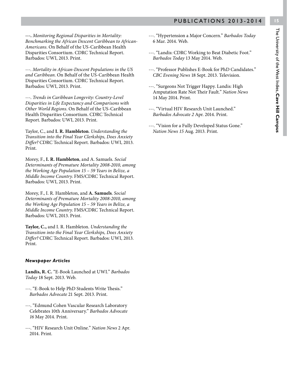**---.** *Monitoring Regional Disparities in Mortality: Benchmarking the African Descent Caribbean to African-Americans*. On Behalf of the US-Caribbean Health Disparities Consortium. CDRC Technical Report. Barbados: UWI, 2013. Print.

---. *Mortality in African-Descent Populations in the US and Caribbean*. On Behalf of the US-Caribbean Health Disparities Consortium. CDRC Technical Report. Barbados: UWI, 2013. Print.

---. *Trends in Caribbean Longevity: Country-Level Disparities in Life Expectancy and Comparisons with Other World Regions*. On Behalf of the US-Caribbean Health Disparities Consortium. CDRC Technical Report. Barbados: UWI, 2013. Print.

Taylor, C., and **I. R. Hambleton**. *Understanding the Transition into the Final Year Clerkships, Does Anxiety Differ?* CDRC Technical Report. Barbados: UWI, 2013. Print.

Morey, F., **I. R. Hambleton**, and A. Samuels. *Social Determinants of Premature Mortality 2008-2010, among the Working Age Population 15 – 59 Years in Belize, a Middle Income Country*. FMS/CDRC Technical Report. Barbados: UWI, 2013. Print.

Morey, F., I. R. Hambleton, and **A. Samuels**. *Social Determinants of Premature Mortality 2008-2010, among the Working Age Population 15 – 59 Years in Belize, a Middle Income Country*. FMS/CDRC Technical Report. Barbados: UWI, 2013. Print.

**Taylor, C.,** and I. R. Hambleton. *Understanding the Transition into the Final Year Clerkships, Does Anxiety Differ?* CDRC Technical Report. Barbados: UWI, 2013. Print.

#### *Newspaper Articles*

**Landis, R. C.** "E-Book Launched at UWI." *Barbados Today* 18 Sept. 2013. Web.

- ---. "E-Book to Help PhD Students Write Thesis." *Barbados Advocate* 21 Sept. 2013. Print.
- ---. "Edmund Cohen Vascular Research Laboratory Celebrates 10th Anniversary." *Barbados Advocate 16* May 2014. Print.
- ---. "HIV Research Unit Online." *Nation News* 2 Apr. 2014. Print.
- ---. "Hypertension a Major Concern." *Barbados Today*  6 Mar. 2014. Web.
- ---. "Landis: CDRC Working to Beat Diabetic Foot." *Barbados Today* 13 May 2014. Web.
- ---. "Professor Publishes E-Book for PhD Candidates." *CBC Evening News* 18 Sept. 2013. Television.
- ---. "Surgeons Not Trigger Happy. Landis: High Amputation Rate Not Their Fault." *Nation News*  14 May 2014. Print.
- ---. "Virtual HIV Research Unit Launched." *Barbados Advocate 2* Apr. 2014. Print.
- ---. "Vision for a Fully Developed Status Gone." *Nation News 15* Aug. 2013. Print.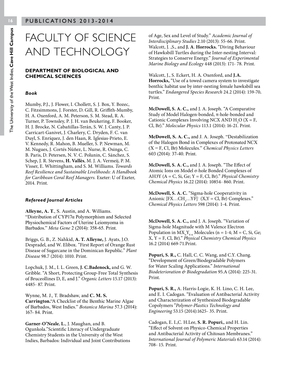### FACULTY OF SCIENCE AND TECHNOLOGY

#### **DEPARTMENT OF BIOLOGICAL AND CHEMICAL SCIENCES**

#### *Book*

Mumby, P.J., J. Flower, I. Chollett, S. J. Box, Y. Bozec, C. Fitzsimmons, J. Forster, D. Gill, R. Griffith-Mumby, H. A. Oxenford, A. M. Peterson, S. M. Stead, R. A. Turner, P. Townsley, P. J. H. van Beukering, F. Booker, H. J. Brocke, N. Cabañillas-Terán, S. W. J. Canty, J. P. Carricart-Ganivet, J. Charlery, C. Dryden, F. C. van Duyl, S. Enríquez, J. den Haan, R. Iglesias-Prieto, E. V. Kennedy, R. Mahon, B. Mueller, S. P. Newman, M. M. Nugues, J. Cortés Núñez, L. Nurse, R. Osinga, C. B. Paris, D. Petersen, N. V. C. Polunin, C. Sánchez, S. Schep, J. R. Stevens, **H. Vallès**, M. J. A. Vermeij, P. M. Visser, E. Whittingham, and S. M. Williams. *Towards Reef Resilience and Sustainable Livelihoods: A Handbook for Caribbean Coral Reef Managers.* Exeter: U of Exeter, 2014. Print.

#### *Refereed Journal Articles*

**Alleyne, A. T**., S. Austin, and A. Williams. "Distribution of CYP17α Polymorphism and Selected Physiochemical Factors of Uterine Leiomyoma in Barbados." *Meta Gene* 2 (2014): 358-65. Print.

Briggs, G. B., Z. Nahkid, **A. T. Alleyne,** J. Ayats, J.O. Despradel, and W. Elibox. "First Report of Orange Rust Disease of Sugarcane in the Dominican Republic." *Plant Disease* 98.7 (2014): 1010. Print.

Lopchuk, J. M., I. L. Green, **J. C.Badenock,** and G. W. Gribble. "A Short, Protecting Group-Free Total Synthesis of Bruceollines D, E, and J." *Organic Letters* 15.17 (2013): 4485- 87. Print.

Wynne, M. J., T. Bradshaw, and **C. M. S. Carrington.**"A Checklist of the Benthic Marine Algae of Barbados, West Indies." *Botanica Marina* 57.3 (2014): 167- 84. Print.

**Garner-O'Neale**, **L.**, J. Maughan, and B. Ogunkola."Scientific Literacy of Undergraduate Chemistry Students in the University of the West Indies, Barbados: Individual and Joint Contributions of Age, Sex and Level of Study." *Academic Journal of Interdisciplinary Studies* 2.10 (2013): 55-66. Print. Walcott, J. ,S., and **J. A**. **Horrocks.** "Diving Behaviour of Hawksbill Turtles during the Inter-nesting Interval: Strategies to Conserve Energy." *Journal of Experimental Marine Biology and Ecology* 448 (2013): 171- 78. Print.

Walcott, J., S. Eckert, H. A. Oxenford, and **J.A. Horrocks,** "Use of a towed camera system to investigate benthic habitat use by inter-nesting female hawksbill sea turtles." *Endangered Species Research* 24.2 (2014): 159-70**.**  Print.

**McDowell, S. A. C.,** and J. A. Joseph. "A Comparative Study of Model Halogen-bonded, π-hole-bonded and Cationic Complexes Involving NCX AND  $H_2O$  (X = F, Cl, Br)." *Molecular Physics* 113.1 (2014): 16-21. Print.

**McDowell, S. A. C.,** and J. A. Joseph. "Destabilization of the Halogen Bond in Complexes of Protonated NCX (X = F, Cl, Br) Molecules." *Chemical Physics Letters* 603 (2014): 37-40. Print.

**McDowell, S. A. C.,** and J. A. Joseph. "The Effect of Atomic Ions on Model σ-hole Bonded Complexes of AH3Y (A = C, Si, Ge; Y = F, Cl, Br)." *Physical Chemistry Chemical Physics* 16.22 (2014): 10854- 860. Print.

**McDowell, S. A. C.** "Sigma-hole Cooperativity in Anionic  $[FX...CH_{3}...YF]$ <sup>-</sup>  $(X,Y = Cl, Br)$  Complexes." *Chemical Physics Letters* 598 (2014): 1-4. Print.

**McDowell, S. A. C.,** and J. A. Joseph. "Variation of Sigma-hole Magnitude with M Valence Electron Population in  $MX_nY_{4-n}$  Molecules (n = 1-4; M = C, Si, Ge; X, Y = F, Cl, Br)." *Physical Chemistry Chemical Physics* 16.2 (2014) 669-71.Print.

**Popuri, S. R.,** C. Hall, C. C. Wang, and C.Y. Chang. "Development of Green/Biodegradable Polymers for Water Scaling Applications." *International Biodeterioration & Biodegradation* 95.A (2014): 225-31. Print.

**Popuri, S. R.,** A. Harris-Logie, K. H. Lino, C. H. Lee, and E. I. Cadogan. "Evaluation of Antibacterial Activity and Characterization of Synthesized Biodegradable Copolymers "*Polymer-Plastics Technology and Engineering* 53.15 (2014):1625- 35. Print.

Cadogan, E. I.,C. H.Lee, **S. R. Popuri**,, and H. Lin. "Effect of Solvent on Physico-Chemical Properties and Antibacterial Activity of Chitosan Membranes." *International Journal of Polymeric Materials* 63.14 (2014): 708- 15*.* Print.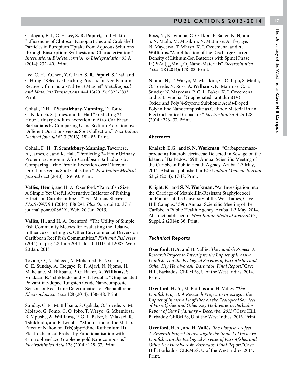Cadogan, E. I., C. H.Lee, **S. R. Popuri**,, and H. Lin. "Efficiencies of Chitosan Nanoparticles and Crab Shell Particles in Europium Uptake from Aqueous Solutions through Biosorption: Synthesis and Characterization." *International Biodeterioration & Biodegradation* 95.A (2014): 232- 40. Print.

Lee, C. H., Y.Chen, Y. C.Liao, **S. R. Popuri**, S. Tsai, and C.Hung. "Selective Leaching Process for Neodymium Recovery from Scrap Nd-Fe-B Magnet" *Metallurgical and Materials Transactions A*44.13(2013): 5825-5833*.*  Print.

Cohall, D.H., **T.Scantlebury-Manning,** D. Toure, C. Nakhleh, S. James, and K. Hall."Predicting 24 Hour Urinary Sodium Excretion in Afro-Caribbean Barbadians by Comparing Urine Sodium Excretion over Different Durations versus Spot Collection." *West Indian Medical Journal* 62.3 (2013): 181- 85. Print.

Cohall, D. H., **T. Scantlebury-Manning,** Tavernese, A., James, S., and K. Hall. "Predicting 24 Hour Urinary Protein Excretion in Afro-Caribbean Barbadians by Comparing Urine Protein Excretion over Different Durations versus Spot Collection." *West Indian Medical Journal* 62.3 (2013): 189- 93. Print.

**Vallès, Henri**, and H. A. Oxenford. "Parrotfish Size: A Simple Yet Useful Alternative Indicator of Fishing Effects on Caribbean Reefs?" Ed. Marcus Sheaves. *PLoS ONE* 9.1 (2014): E86291. *Plos One*. doi:10.1371/ journal.pone.0086291. Web. 20 Jan. 2015.

**Vallès, H.**, and H. A. Oxenford. "The Utility of Simple Fish Community Metrics for Evaluating the Relative Influence of Fishing vs. Other Environmental Drivers on Caribbean Reef Fish Communities." *Fish and Fisheries* (2014): n. pag. 28 June 2014. doi:10.1111/faf.12085. Web. 20 Jan. 2015.

Tovide, O., N. Jaheed, N. Mohamed, E. Nxusani, C. E. Sunday, A. Tsegaye, R. F. Ajayi, N. Njomo, H. Makelane, M. Bilibana, P. G. Baker, **A. Williams**, S. Vilakazi, R. Tshikhudo, and E. I. Iwuoha. "Graphenated Polyaniline-doped Tungsten Oxide Nanocomposite Sensor for Real Time Determination of Phenanthrene." *Electrochimica Acta* 128 (2014): 138- 48. Print.

Sunday, C. E., M. Bilibana, S. Qakala, O. Tovide, K. M. Molapo, G. Fomo, C. O. Ipko, T. Waryo, G. Mbambisa, B. Mpushe, **A**. **Williams,** P. G. L. Baker, S. Vilakazi, R. Tshikhudo, and E. Iwuoha. "Modulation of the Matrix Effect of Nafion on Tris(bipyridine) Ruthenium(II) Electrochemical Probes by Functionalisation with 4-nitrophenylazo Graphene-gold Nanocomposite." *Electrochimica Acta* 128 (2014): 128- 37. Print.

Ross, N., E. Iwuoha, C. O. Ikpo, P. Baker, N. Njomo, S. N. Mailu, M. Masikini, N. Matinise, A. Tsegaye, N. Mayedwa, T. Waryo, K. I. Ozoemena, and **A**. **Williams.** "Amplification of the Discharge Current Density of Lithium-Ion Batteries with Spinel Phase  $\textrm{Li(PtAu)}_{0.02}\textrm{Mn}_{1.98}\textrm{O}_{4}$  Nano-Materials" *Electrochimica Acta* 128 (2014): 178- 83. Print.

Njomo, N., T. Waryo, M. Masikini, C. O. Ikpo, S. Mailu, O. Tovide, N. Ross, **A**. **Williams,** N. Matinise, C. E. Sunday, N. Mayedwa, P. G. L. Baker, K. I. Ozoemena, and E. I. Iwuoha. "Graphenated Tantalum(IV) Oxide and Poly(4-Styrene Sulphonic Acid)-Doped Polyaniline Nanocomposite as Cathode Material in an Electrochemical Capacitor." *Electrochimica Acta* 128 (2014): 226- 37. Print.

#### *Abstracts*

Knaizeh, E.G., and **S. N. Workman**. "Carbapenemaseproducing Enterobacteriaceae Detected in Sewage on the Island of Barbados." 59th Annual Scientific Meeting of the Caribbean Public Health Agency. Aruba. 1-3 May, 2014. Abstract published in *West Indian Medical Journal* 63 ,2 (2014): 17-18. Print.

Knight, K., and **S. N. Workman.** "An Investigation into the Carriage of Methicillin-Resistant Staphylococci on Fomites at the University of the West Indies, Cave Hill Campus." 59th Annual Scientific Meeting of the Caribbean Public Health Agency. Aruba, 1-3 May, 2014. Abstract published in *West Indian Medical Journal* 63, Suppl. 2 (2014): 36. Print.

#### *Technical Reports*

**Oxenford, H.A**. and H. Vallès. *The Lionfish Project: A Research Project to Investigate the Impact of Invasive Lionfishes on the Ecological Services of Parrotfishes and Other Key Herbivoresin Barbados. Final Report*."Cave Hill, Barbados: CERMES, U of the West Indies, 2014. Print.

**Oxenford, H. A**., M. Phillips and H. Vallès. "*The Lionfish Project: A Research Project to Investigate the Impact of Invasive Lionfishes on the Ecological Services of Parrotfishes and Other Key Herbivores in Barbados. Report of Year I (January – December 2013)".*Cave Hill, Barbados: CERMES, U of the West Indies. 2013. Print.

**Oxenford, H.A**., and **H. Vallès**. *The Lionfish Project: A Research Project to Investigate the Impact of Invasive Lionfishes on the Ecological Services of Parrotfishes and Other Key Herbivoresin Barbados. Final Report*."Cave Hill, Barbados: CERMES, U of the West Indies, 2014. Print.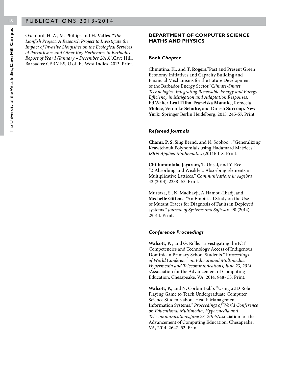Oxenford, H. A., M. Phillips and **H. Vallès**. "*The Lionfish Project: A Research Project to Investigate the Impact of Invasive Lionfishes on the Ecological Services of Parrotfishes and Other Key Herbivores in Barbados. Report of Year I (January – December 2013)".*Cave Hill, Barbados: CERMES, U of the West Indies. 2013. Print.

#### **DEPARTMENT OF COMPUTER SCIENCE MATHS AND PHYSICS**

#### *Book Chapter*

Chmutina, K., and **T. Rogers.**"Past and Present Green Economy Initiatives and Capacity Building and Financial Mechanisms for the Future Development of the Barbados Energy Sector."*Climate-Smart Technologies: Integrating Renewable Energy and Energy Efficiency in Mitigation and Adaptation Responses*. Ed.Walter **Leal Filho**, Franziska **Mannke**, Romeela **Mohee**, Veronike **Schulte**, and Dinesh **Surroop. New York:** Springer Berlin Heidelberg, 2013. 245-57. Print.

#### *Refereed Journals*

**Chami, P. S**, Sing Bernd, and N. Sookoo. . "Generalizing Krawtchouk Polynomials using Hadamard Matrices." *ISRN Applied Mathematics* (2014): 1-8. Print.

**Chillumuntala, Jayaram, T.** Unsal, and Y. Ece. "2-Absorbing and Weakly 2-Absorbing Elements in Multiplicative Lattices." *Communications in Algebra* 42 (2014): 2338- 53. Print.

Murtaza, S., N. Madhavji, A.Hamou-Lhadj, and **Mechelle Gittens.** "An Empirical Study on the Use of Mutant Traces for Diagnosis of Faults in Deployed systems.*" Journal of Systems and Software* 90 (2014): 29-44. Print.

#### *Conference Proceedings*

**Walcott, P. ,** and G. Rolle. "Investigating the ICT Competencies and Technology Access of Indigenous Dominican Primary School Students." P*roceedings of World Conference on Educational Multimedia, Hypermedia and Telecommunications, June 23, 2014. :*Association for the Advancement of Computing Education. Chesapeake, VA, 2014. 948- 53. Print.

**Walcott, P.,** and N**.** Corbin-Babb. "Using a 3D Role Playing Game to Teach Undergraduate Computer Science Students about Health Management Information Systems*," Proceedings of World Conference on Educational Multimedia, Hypermedia and Telecommunications,June 23, 2014:*Association for the Advancement of Computing Education. Chesapeake, VA, 2014. 2647- 52. Print.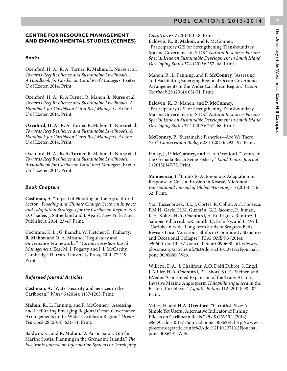#### **CENTRE FOR RESOURCE MANAGEMENT AND ENVIRONMENTAL STUDIES (CERMES)**

#### *Books*

Oxenford, H. A., R. A. Turner, **R. Mahon**, L. Nurse et al. *Towards Reef Resilience and Sustainable Livelihoods: A Handbook for Caribbean Coral Reef Managers*. Exeter: U of Exeter, 2014. Print.

Oxenford, H. A., R. A Turner, R. Mahon, **L. Nurse** et al. *Towards Reef Resilience and Sustainable Livelihoods: A Handbook for Caribbean Coral Reef Managers*. Exeter: U of Exeter, 2014. Print.

**Oxenford, H. A**., R. A. Turner, R. Mahon, L. Nurse et al. *Towards Reef Resilience and Sustainable Livelihoods: A Handbook for Caribbean Coral Reef Managers*. Exeter: U of Exeter, 2014. Print.

Oxenford, H. A., **R. A. Turner**, R. Mahon, L. Nurse et al. *Towards Reef Resilience and Sustainable Livelihoods: A Handbook for Caribbean Coral Reef Managers*. Exeter: U of Exeter, 2014. Print.

#### *Book Chapters*

**Cashman, A**. "Impact of Flooding on the Agricultural Sector." *Flooding and Climate Change: Sectorial Impacts and Adaptation Strategies for the Caribbean Region*. Eds. D. Chadee, J. Sutherland and J. Agard. New York: Nova Publishers, 2014. 23-47. Print.

Cochrane, K. L., G. Bianchi, W. Fletcher, D. Fluharty, **R. Mahon** and O. A. Misund. "Regulatory and Governance Frameworks." *Marine Ecosystem-Based Management*. Eds**:** M. J. Fogarty and J. J. McCarthy. Cambridge: Harvard University Press, 2014. 77-119. Print.

#### *Refereed Journal Articles*

**Cashman, A.** "Water Security and Services in the Caribbean." *Water* 6 (2014): 1187-1203. Print.

**Mahon, R**., L. Fanning, and P. McConney. "Assessing and Facilitating Emerging Regional Ocean Governance Arrangements in the Wider Caribbean Region." *Ocean Yearbook* 28 (2014): 631- 71. Print.

Baldwin, K., and **R. Mahon**. "A Participatory GIS for Marine Spatial Planning in the Grenadine Islands." *The Electronic Journal on Information Systems in Developing* 

*Countries* 63.7 (2014): 1-18. Print. Baldwin, K., **R. Mahon,** and P. McConney. "Participatory GIS for Strengthening Transboundary Marine Governance in SIDS." *Natural Resources Forum: Special Issue on Sustainable Development in Small Island Developing States* 37.4 (2013): 257- 68. Print.

Mahon, R., L. Fanning, and **P. McConney**. "Assessing and Facilitating Emerging Regional Ocean Governance Arrangements in the Wider Caribbean Region." *Ocean Yearbook* 28 (2014): 631-71. Print.

Baldwin, K., R. Mahon, and **P. McConney**. "Participatory GIS for Strengthening Transboundary Marine Governance in SIDS." *Natural Resources Forum: Special Issue on Sustainable Development in Small Island Developing States* 37.4 (2013): 257- 68. Print.

**McConney, P**. "Sustainable Fisheries—Are We There Yet?" *Conservation Biology* 28.1 (2013): 292– 97. Print.

Finlay, J., **P. McConney, and** H. A. Oxenford. "Tenure in the Grenada Beach Seine Fishery." *Land Tenure Journal* 1 (2013):147-73. Print.

**Monnereau, I**. "Limits to Autonomous Adaptation in Response to Coastal Erosion in Kosrae, Micronesia." *International Journal of Global Warming* 5.4 (2013): 416- 32. Print.

Van Tussenbroek. B.I., J. Cortés, R. Collin, A.C. Fonseca, P.M.H. Gayle, H.M. Guzmán, G.E. Jácome, R. Juman, K.H. Koltes, **H.A. Oxenford**, A. Rodríguez-Ramirez, J. Samper-Villarreal, S.R. Smith, J.J.Tschirky, and E. Weil. "Caribbean-wide, Long-term Study of Seagrass Beds Reveals Local Variations, Shifts in Community Structure and Occasional Collapse." *PLoS ONE* 9.3 (2014): e90600. doi:10.1371/journal.pone.0090600. http://www. plosone.org/article/info%3Adoi%2F10.1371%2Fjournal. pone.0090600. Web.

Willette, D.A., J. Chalifour, A.O. Dolfi Debrot, S. Engel, J. Miller, **H.A. Oxenford**, F.T. Short, S.C.C. Steiner, and F.Védie. "Continued Expansion of the Trans-Atlantic Invasive Marine Angiosperm *Halophila stipulacea* in the Eastern Caribbean." *Aquatic Botany* 112 (2014): 98-102. Print.

Valles, H. and **H.A. Oxenford**. "Parrotfish Size: A Simple Yet Useful Alternative Indicator of Fishing Effects on Caribbean Reefs." *PLoS ONE* 9.1 (2014): e86291. doi:10.1371/journal.pone. 0086291. http://www. plosone.org/article/info%3Adoi%2F10.1371%2Fjournal. pone.0086291. Web.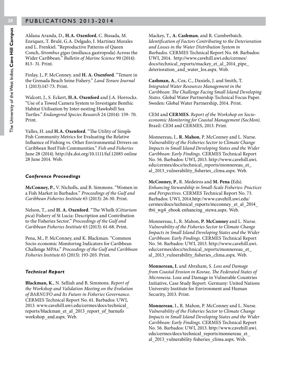Aldana Aranda, D., **H.A. Oxenford**, C. Bissada, M. Enriquez, T. Brulé, G.A. Delgado, I. Martínez Morales and L. Frenkiel. "Reproductive Patterns of Queen Conch, *Strombus gigas* (mollusca gastropoda) Across the Wider Caribbean." *Bulletin of Marine Science* 90 (2014): 813- 31. Print.

Finlay, J., P. McConney. and **H. A. Oxenford**. "Tenure in the Grenada Beach Seine Fishery." *Land Tenure Journal* 1 (2013):147-73. Print.

Walcott, J., S. Eckert, **H.A. Oxenford** and J.A. Horrocks. "Use of a Towed Camera System to Investigate Benthic Habitat Utilisation by Inter-nesting Hawksbill Sea Turtles." *Endangered Species Research* 24 (2014): 159- 70. Print.

Valles, H. and **H.A. Oxenford**. "The Utility of Simple Fish Community Metrics for Evaluating the Relative Influence of Fishing vs. Other Environmental Drivers on Caribbean Reef Fish Communities." *Fish and Fisheries*  June 28 (2014). http://dx.doi.org/10.1111/faf.12085 online 28 June 2014. Web.

#### *Conference Proceedings*

**McConney, P.**, V. Nicholls, and B. Simmons. "Women in a Fish Market in Barbados." *Proceedings of the Gulf and Caribbean Fisheries Institute* 65 (2013): 26-30. Print.

Nelson, T., and **H. A. Oxenford**. "The Whelk (*Cittarium pica*) Fishery of St Lucia: Description and Contribution to the Fisheries Sector." *Proceedings of the Gulf and Caribbean Fisheries Institute* 65 (2013): 61-68. Print.

Pena, M., P. McConney, and K. Blackman. "Common Socio-economic Monitoring Indicators for Caribbean Challenge MPAs." *Proceedings of the Gulf and Caribbean Fisheries Institute* 65 (2013): 193-203. Print.

#### *Technical Report*

**Blackman, K**., N. Selliah and B. Simmons. *Report of the Workshop and Validation Meeting on the Evolution of BARNUFO and Its Future in Fisheries Governance.* CERMES Technical Report No. 61. Barbados: UWI, 2013. www.cavehill.uwi.edu/cermes/docs/technical\_ reports/blackman\_et\_al\_2013\_report\_of\_barnufo workshop\_and.aspx. Web.

Mackey, T., **A. Cashman**, and R. Cumberbatch. *Identification of Factors Contributing to the Deterioration and Losses in the Water Distribution System in Barbados*. CERMES Technical Report No. 68. Barbados: UWI, 2014. http://www.cavehill.uwi.edu/cermes/ docs/technical\_reports/mackey\_et\_al\_2014\_pipe\_ deterioration and water los.aspx. Web.

**Cashman, A**., Cox, C., Daniels, J. and Smith, T. *Integrated Water Resources Management in the Caribbean: The Challenge Facing Small Island Developing States.* Global Water Partnership Technical Focus Paper. Sweden: Global Water Partnership, 2014. Print.

CEM and **CERMES**. *Report of the Workshop on Socioeconomic Monitoring for Coastal Management (SocMon)*. Brazil: CEM and CERMES, 2013. Print.

Monnereau, I., **R. Mahon**, P. McConney and L. Nurse. *Vulnerability of the Fisheries Sector to Climate Change Impacts in Small Island Developing States and the Wider Caribbean: Early Findings.* CERMES Technical Report No. 56. Barbados: UWI, 2013. http://www.cavehill.uwi. edu/cermes/docs/technical\_reports/monnereau\_et\_ al 2013 vulnerability fisheries clima.aspx. Web.

**McConney, P**., R. Medeiros and **M. Pena (**Eds). *Enhancing Stewardship in Small-Scale Fisheries: Practices and Perspectives.* CERMES Technical Report No. 73. Barbados: UWI, 2014.http://www.cavehill.uwi.edu/ cermes/docs/technical\_reports/mcconney\_et\_al\_2014\_ tbti\_wg4\_ebook enhancing\_stewa.aspx. Web.

Monnereau, I., R. Mahon, **P. McConney** and L. Nurse. *Vulnerability of the Fisheries Sector to Climate Change Impacts in Small Island Developing States and the Wider Caribbean: Early Findings.* CERMES Technical Report No. 56. Barbados: UWI, 2013. http://www.cavehill.uwi. edu/cermes/docs/technical\_reports/monnereau\_et\_ al\_2013\_vulnerability\_fisheries\_clima.aspx. Web.

**Monnereau, I.** and Abraham, S. *Loss and Damage from Coastal Erosion in Kosrae, The Federated States of Micronesia*. Loss and Damage in Vulnerable Countries Initiative, Case Study Report*.* Germany: United Nations University Institute for Environment and Human Security, 2013. Print.

**Monnereau**, I., R. Mahon, P. McConney and L. Nurse. *Vulnerability of the Fisheries Sector to Climate Change Impacts in Small Island Developing States and the Wider Caribbean: Early Findings.* CERMES Technical Report No. 56. Barbados: UWI, 2013. http://www.cavehill.uwi. edu/cermes/docs/technical\_reports/monnereau\_et\_ al 2013 vulnerability fisheries clima.aspx. Web.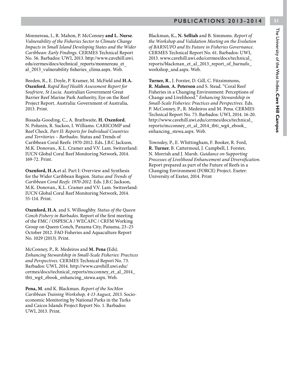Monnereau, I., R. Mahon, P. McConney **and L. Nurse**. *Vulnerability of the Fisheries Sector to Climate Change Impacts in Small Island Developing States and the Wider Caribbean: Early Findings.* CERMES Technical Report No. 56. Barbados: UWI, 2013. http://www.cavehill.uwi. edu/cermes/docs/technical\_reports/monnereau\_et\_ al 2013 vulnerability fisheries clima.aspx. Web.

Beeden, R., E. Doyle, P. Kramer, M. McField and **H.A. Oxenford.** *Rapid Reef Health Assessment Report for Soufriere, St Lucia.* Australian Government Great Barrier Reef Marine Park Authority, Eye on the Reef Project Report. Australia: Government of Australia, 2013. Print.

Bissada-Gooding, C., A. Brathwaite, **H. Oxenford**, N. Polunin, R. Suckoo, I. Williams. CARICOMP and Reef Check. *Part II: Reports for Individual Countries and Territories – Barbados.* Status and Trends of Caribbean Coral Reefs: 1970-2012. Eds**.** J.B.C Jackson, M.K. Donovan., K.L. Cramer and V.V. Lam. Switzerland: IUCN Global Coral Reef Monitoring Network, 2014. 169-72. Print.

**Oxenford, H.A.**et al. Part I: Overview and Synthesis for the Wider Caribbean Region. *Status and Trends of Caribbean Coral Reefs: 1970-2012.* Eds. J.B.C Jackson, M.K. Donovan., K.L. Cramer and V.V. Lam. Switzerland: IUCN Global Coral Reef Monitoring Network, 2014. 55-114. Print.

**Oxenford, H.A**. and S. Willoughby. *Status of the Queen Conch Fishery in Barbados*. Report of the first meeting of the FMC / OSPESCA / WECAFC / CRFM Working Group on Queen Conch, Panama City, Panama, 23–25 October 2012. FAO Fisheries and Aquaculture Report No. 1029 (2013). Print.

McConney, P., R. Medeiros and **M. Pena (**Eds). *Enhancing Stewardship in Small-Scale Fisheries: Practices and Perspectives.* CERMES Technical Report No. 73. Barbados: UWI, 2014. http://www.cavehill.uwi.edu/ cermes/docs/technical\_reports/mcconney\_et\_al\_2014\_ tbti\_wg4\_ebook\_enhancing\_stewa.aspx. Web.

**Pena, M**. and K. Blackman. *Report of the SocMon Caribbean Training Workshop, 4-13 August, 2013.* Socioeconomic Monitoring by National Parks in the Turks and Caicos Islands Project Report No. 1. Barbados: UWI, 2013. Print.

Blackman, K**.**, **N. Selliah** and B. Simmons. *Report of the Workshop and Validation Meeting on the Evolution of BARNUFO and Its Future in Fisheries Governance.* CERMES Technical Report No. 61. Barbados: UWI, 2013. www.cavehill.uwi.edu/cermes/docs/technical\_ reports/blackman\_et\_al\_2013\_report\_of\_barnufo\_ workshop\_and.aspx. Web.

**Turner, R**., J. Forster, D. Gill, C. Fitzsimmons, **R. Mahon**, **A. Peterson** and S. Stead. "Coral Reef Fisheries in a Changing Environment: Perceptions of Change and Livelihood." *Enhancing Stewardship in Small-Scale Fisheries: Practices and Perspectives.* Eds. P. McConney, P., R. Medeiros and M. Pena. CERMES Technical Report No. 73. Barbados: UWI, 2014. 16-20. http://www.cavehill.uwi.edu/cermes/docs/technical\_ reports/mcconney\_et\_al\_2014\_tbti\_wg4\_ebook\_ enhancing\_stewa.aspx. Web.

Townsley, P., E. Whittingham, F. Booker, R. Ford, **R. Turner**, B. Cattermoul, J. Campbell, J. Forster, N. Morrish and J. Marsh. *Guidance on Supporting Processes of Livelihood Enhancement and Diversification.* Report prepared as part of the Future of Reefs in a Changing Environment (FORCE) Project. Exeter: University of Exeter, 2014. Print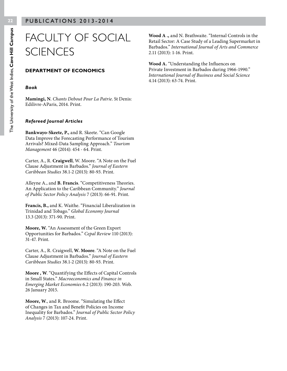### FACULTY OF SOCIAL **SCIENCES**

#### **DEPARTMENT OF ECONOMICS**

#### *Book*

**Mamingi, N**. *Chants Debout Pour La Patrie*. St Denis: Edilivre-AParis, 2014. Print.

#### *Refereed Journal Articles*

**Bankwayo-Skeete, P.,** and R. Skeete. "Can Google Data Improve the Forecasting Performance of Tourism Arrivals? Mixed-Data Sampling Approach." *Tourism Management* 46 (2014): 454 - 64. Print.

Carter, A., R. **Craigwell**, W. Moore. "A Note on the Fuel Clause Adjustment in Barbados." *Journal of Eastern Caribbean Studies* 38.1-2 (2013): 80-93. Print.

Alleyne A., and **B. Francis**. "Competitiveness Theories. An Application to the Caribbean Community." *Journal of Public Sector Policy Analysis* 7 (2013): 66-91. Print.

**Francis, B.,** and K. Waithe. "Financial Liberalization in Trinidad and Tobago." *Global Economy Journal*  13.3 (2013): 371-90. Print.

**Moore, W.** "An Assessment of the Green Export Opportunities for Barbados." *Cepal Review* 110 (2013): 31-47. Print.

Carter, A., R. Craigwell, **W. Moore**. "A Note on the Fuel Clause Adjustment in Barbados." *Journal of Eastern Caribbean Studies* 38.1-2 (2013): 80-93. Print.

**Moore , W**. "Quantifying the Effects of Capital Controls in Small States." *Macroeconomics and Finance in Emerging Market Economies* 6.2 (2013): 190-203. Web. 26 January 2015.

**Moore, W**., and R. Broome. "Simulating the Effect of Changes in Tax and Benefit Policies on Income Inequality for Barbados." *Journal of Public Sector Policy Analysis* 7 (2013): 107-24. Print.

**Wood A .,** and N. Brathwaite. "Internal Controls in the Retail Sector: A Case Study of a Leading Supermarket in Barbados." *International Journal of Arts and Commerce*  2.11 (2013): 1-16. Print.

**Wood A.** "Understanding the Influences on Private Investment in Barbados during 1966-1990." *International Journal of Business and Social Science*  4.14 (2013): 63-74. Print.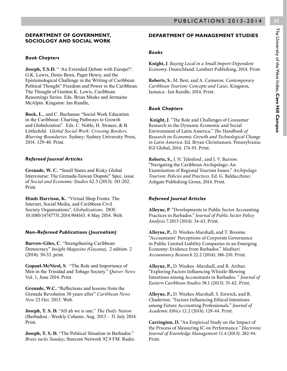# **23**The University of the West Indies, Cave Hill Campus The University of the West Indies, **Cave Hill Campus**

#### **DEPARTMENT OF GOVERNMENT, SOCIOLOGY AND SOCIAL WORK**

#### *Book Chapters*

**Joseph, T.S.D.** " 'An Extended Debate with Europe?': G.K. Lewis, Denis Benn, Paget Henry, and the Epistemological Challenge in the Writing of Caribbean Political Thought" Freedom and Power in the Caribbean: The Thought of Gordon K. Lewis, Caribbean Reasonings Series. Eds. Brian Meeks and Jermaine McAlpin. Kingston: Ian Randle,

**Rock, L**., and C. Buchanan "Social Work Education in the Caribbean: Charting Pathways to Growth and Globalization"*.* Eds. C. Noble, H. Strauss, & B. Littlechild. *Global Social Work: Crossing Borders, Blurring Boundaries.* Sydney: Sydney University Press, 2014. 129-40. Print.

#### *Refereed Journal Articles*

**Grenade, W. C.** "Small States and Risky Global Intercourse: The Grenada-Taiwan Dispute" Spec. issue of *Social and Economic Studies* 62.3 (2013): 181-202. Print.

**Hinds Harrison, K.** "Virtual Shop Fronts: The Internet, Social Media, and Caribbean Civil Society Organisations". *Globalizations*. DOI: 10.1080/14747731.2014.904163. 8 May 2014. Web.

#### *Non-Refereed Publications (Journalism)*

**Barrow-Giles, C**. "Strengthening Caribbean Democracy" *Insight Magazine (Guyana)*, 2 edition. 2 (2014): 30-33. print.

**Gopaul-McNicol, S**. "The Role and Importance of Men in the Trinidad and Tobago Society." *Quiver News* Vol. 1, June 2014. Print.

**Grenade, W.C.** "Reflections and lessons from the Grenada Revolution 30 years after" *Caribbean News Now* 23 Oct. 2013. Web.

**Joseph, T. S. D.** "All ah we is one." *The Daily Nation* (Barbados) - Weekly Column. Aug. 2013 – 31 July 2014. Print.

**Joseph, T. S. D.** "The Political Situation in Barbados." *Brass tacks Sunday***.** Starcom Network 92.9 FM. Radio.

#### **DEPARTMENT OF MANAGEMENT STUDIES**

#### *Books*

**Knight, J**. *Buying Local in a Small Import-Dependent Economy*. Deutschland: Lambert Publishing, 2014. Print.

**Roberts, S**., M. Best, and A. Cameron. *Contemporary Caribbean Tourism: Concepts and Cases.* Kingston, Jamaica : Ian Randle, 2014. Print.

#### *Book Chapters*

 **Knight, J**. "The Role and Challenges of Consumer Research in the Dynamic Economic and Social Environment of Latin America." *The Handbook of Research on Economic Growth and Technological Change in Latin America*. Ed. Bryan Christiansen. Pennsylvania: IGI Global, 2014. 174-93. Print.

**Roberts, S.,** J. N. Telesford , and J. V. Barrow. "Navigating the Caribbean Archipelago: An Examination of Regional Tourism Issues." *Archipelago Tourism: Policies and Practices*. Ed. G. Baldacchino: Ashgate Publishing Grous, 2014. Print.

#### *Refereed Journal Articles*

**Alleyne, P**. "Developments in Public Sector Accounting Practices in Barbados." *Journal of Public Sector Policy Analysis* 7.2013 (2014): 34-63. Print.

**Alleyne, P.,** D. Weekes-Marshall**,** and T. Broome. "Accountants' Perceptions of Corporate Governance in Public Limited Liability Companies in an Emerging Economy: Evidence from Barbados." *Meditari Accountancy Research* 22.2 (2014): 186-210. Print.

**Alleyne, P.,** D. Weekes -Marshall, and R. Arthur. "Exploring Factors Influencing Whistle-Blowing Intentions among Accountants in Barbados. " *Journal of Eastern Caribbean Studies* 38.1 (2013): 35-62. Print.

**Alleyne, P.,** D. Weekes-Marshall, S. Estwick, and R. Chaderton. "Factors Influencing Ethical Intentions among Future Accounting Professionals." *Journal of Academic Ethics* 12.2 (2014): 129-44. Print.

**Carrington, D.** "An Empirical Study on the Impact of the Process of Measuring IC on Performance*." Electronic Journal of Knowledge Management* 11.4 (2013): 282-94. Print.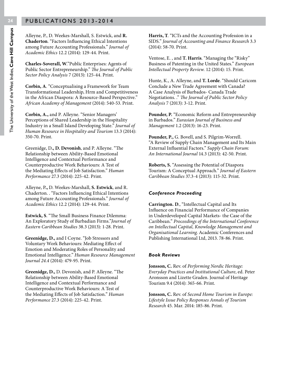Alleyne, P., D. Weekes-Marshall, S. Estwick, and **R. Chaderton**. "Factors Influencing Ethical Intentions among Future Accounting Professionals." *Journal of Academic Ethics* 12.2 (2014): 129-44. Print.

**Charles-Soverall, W**."Public Enterprises: Agents of Public Sector Entrepreneurship." *The Journal of Public Sector Policy Analysis* 7 (2013): 125-44. Print.

**Corbin, A**. "Conceptualising a Framework for Team Transformational Leadership, Hrm and Competitiveness in the African Diaspora: A Resource-Based Perspective." *African Academy of Management* (2014): 540-53. Print.

**Corbin, A.,** and P. Alleyne. "Senior Managers' Perceptions of Shared Leadership in the Hospitality Industry in a Small Island Developing State." *Journal of Human Resource in Hospitality and Tourism* 13.3 (2014): 350-70. Print.

Greenidge, D**., D. Devonish**, and P. Alleyne. "The Relationship between Ability-Based Emotional Intelligence and Contextual Performance and Counterproductive Work Behaviours: A Test of the Mediating Effects of Job Satisfaction." *Human Performance* 27.3 (2014): 225-42. Print.

Alleyne, P**.,** D. Weekes-Marshall, **S. Estwick**, and R. Chaderton. . "Factors Influencing Ethical Intentions among Future Accounting Professionals." *Journal of Academic Ethics* 12.2 (2014): 129-44. Print.

**Estwick, S**. "The Small Business Finance Dilemma: An Exploratory Study of Barbadian Firms."*Journal of Eastern Caribbean Studies* 38.3 (2013): 1-28. Print.

**Greenidge, D.,** and I Coyne. "Job Stressors and Voluntary Work Behaviours: Mediating Effect of Emotion and Moderating Roles of Personality and Emotional Intelligence." *Human Resource Management Journal 24.4* (2014): 479-95. Print.

**Greenidge, D.,** D. Devonish, and P. Alleyne. "The Relationship between Ability-Based Emotional Intelligence and Contextual Performance and Counterproductive Work Behaviours: A Test of the Mediating Effects of Job Satisfaction." *Human Performance* 27.3 (2014): 225-42. Print.

**Harris, T**. "ICTs and the Accounting Profession in a SIDS." *Journal of Accounting and Finance Research* 3.3 (2014): 58-70. Print.

Ventose, E. , and **T. Harris**. "Managing the "Risky" Business of Patenting in the United States." *European Intellectual Property Review.* 12 (2014): 15. Print.

Hunte, K., A. Alleyne, and **T. Lorde**. "Should Caricom Conclude a New Trade Agreement with Canada? A Case Analysis of Barbados- Canada Trade Negotiations. ." *The Journal of Public Sector Policy Analysis* 7 (2013): 3-12. Print.

**Pounder, P.** "Economic Reform and Entrepreneurship in Barbados." *Eurasian Journal of Business and Management* 1.2 (2013): 16-23. Print.

**Pounder, P.,** G. Bovell, and S. Pilgrim-Worrell. "A Review of Supply Chain Management and Its Main External Influential Factors." *Supply Chain Forum: An International Journal* 14.3 (2013): 42-50. Print.

**Roberts, S.** "Assessing the Potential of Diaspora Tourism: A Conceptual Approach." *Journal of Eastern Caribbean Studies* 37.3-4 (2013): 115-32. Print.

#### *Conference Proceeding*

**Carrington. D**., "Intellectual Capital and Its Influence on Financial Performance of Companies in Underdeveloped Capital Markets- the Case of the Caribbean." *Proceedings of the International Conference on Intellectual Capital, Knowledge Management and Organisational Learning*. Academic Conferences and Publishing International Ltd, 2013. 78-86. Print.

#### *Book Reviews*

**Jonsson, C.** Rev. of *Performing Nordic Heritage: Everyday Practices and Institutional Culture*, ed. Peter Aronsson and Lizette Graden. Journal of Heritage Tourism 9.4 (2014): 365-66. Print.

**Jonsson, C.** Rev. of *Second Home Tourism in Europe: Lifestyle Issue Policy Responses Annals of Tourism Research* 45. Mar. 2014: 185-86. Print.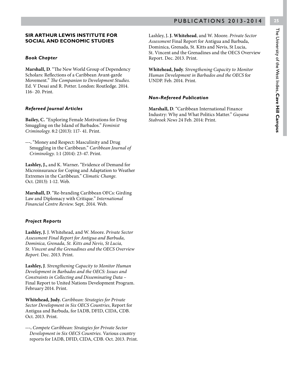#### **SIR ARTHUR LEWIS INSTITUTE FOR SOCIAL AND ECONOMIC STUDIES**

#### *Book Chapter*

**Marshall, D**. "The New World Group of Dependency Scholars: Reflections of a Caribbean Avant-garde Movement." *The Companion to Development Studies.*  Ed. V Desai and R. Potter. London: Routledge. 2014. 116- 20. Print.

#### *Refereed Journal Articles*

**Bailey, C.** "Exploring Female Motivations for Drug Smuggling on the Island of Barbados." *Feminist Criminology*. 8:2 (2013): 117- 41. Print.

**---.** "Money and Respect: Masculinity and Drug Smuggling in the Caribbean." *Caribbean Journal of Criminology*. 1:1 (2014): 23-47. Print.

**Lashley, J.,** and K. Warner**.** "Evidence of Demand for Microinsurance for Coping and Adaptation to Weather Extremes in the Caribbean." *Climatic Change.*  Oct. (2013): 1-12. Web.

**Marshall, D**. "Re-branding Caribbean OFCs: Girding Law and Diplomacy with Critique." *International Financial Centre Review*. Sept. 2014. Web.

#### *Project Reports*

**Lashley, J.** J. Whitehead, and W. Moore. *Private Sector Assessment Final Report for Antigua and Barbuda, Dominica, Grenada, St. Kitts and Nevis, St Lucia, St. Vincent and the Grenadines and the OECS Overview Report.* Dec. 2013. Print.

**Lashley, J**. *Strengthening Capacity to Monitor Human Development in Barbados and the OECS: Issues and Constraints in Collecting and Disseminating Data* – Final Report to United Nations Development Program. February 2014. Print.

**Whitehead, Judy.** *Caribbean: Strategies for Private Sector Development in Six OECS Countries*, Report for Antigua and Barbuda, for IADB, DFID, CIDA, CDB. Oct. 2013. Print.

**---.** *Compete Caribbean: Strategies for Private Sector Development in Six OECS Countries.* Various country reports for IADB, DFID, CIDA, CDB. Oct. 2013. Print.

Lashley, J**. J. Whitehead**, and W. Moore. *Private Sector Assessment* Final Report for Antigua and Barbuda, Dominica, Grenada, St. Kitts and Nevis, St Lucia, St. Vincent and the Grenadines and the OECS Overview Report. Dec. 2013. Print.

**Whitehead, Judy**. *Strengthening Capacity to Monitor Human Development in Barbados and the OECS* for UNDP. Feb. 2014. Print.

#### *Non-Refereed Publication*

**Marshall, D**. "Caribbean International Finance Industry: Why and What Politics Matter." *Guyana Stabroek News* 24 Feb. 2014: Print.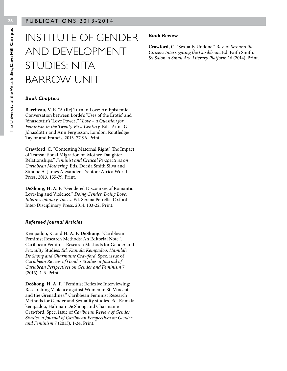### INSTITUTE OF GENDER AND DEVELOPMENT STUDIES: NITA BARROW UNIT

#### *Book Chapters*

**Barriteau, V. E**. "A (Re) Turn to Love: An Epistemic Conversation between Lorde's 'Uses of the Erotic' and Jónasdóttir's 'Love Power'." "*Love – a Question for Feminism in the Twenty-First Century.* Eds. Anna G. Jónasdóttir and Ann Fergusson. London: Routledge/ Taylor and Francis, 2013. 77-96. Print.

**Crawford, C.** "Contesting Maternal Right': The Impact of Transnational Migration on Mother-Daughter Relationships." *Feminist and Critical Perspectives on Caribbean Mothering.* Eds. Dorsia Smith Silva and Simone A. James Alexander. Trenton: Africa World Press, 2013. 155-79. Print.

**DeShong, H. A. F**. "Gendered Discourses of Romantic Love/Ing and Violence." *Doing Gender, Doing Love: Interdisciplinary Voices.* Ed. Serena Petrella. Oxford: Inter-Disciplinary Press, 2014. 103-22. Print.

#### *Refereed Journal Articles*

Kempadoo, K. and **H. A. F. DeShong**. "Caribbean Feminist Research Methods: An Editorial Note.". Caribbean Feminist Research Methods for Gender and *Sexuality* Studies. *Ed. Kamala Kempadoo, Hamilah De Shong and Charmaine Crawford.* Spec. issue of *Caribbean Review of Gender Studies: a Journal of Caribbean Perspectives on Gender and Feminism* 7 (2013): 1-6. Print.

**DeShong, H. A. F.** "Feminist Reflexive Interviewing: Researching Violence against Women in St. Vincent and the Grenadines." Caribbean Feminist Research Methods for Gender and Sexuality studies. Ed. Kamala kempadoo, Halimah De Shong and Charmaine Crawford. Spec. issue of *Caribbean Review of Gender Studies: a Journal of Caribbean Perspectives on Gender and Feminism* 7 (2013): 1-24. Print.

#### *Book Review*

**Crawford, C**. "Sexually Undone." Rev. of *Sex and the Citizen: Interrogating the Caribbean*. Ed. Faith Smith. *Sx Salon: a Small Axe Literary Platform* 16 (2014). Print.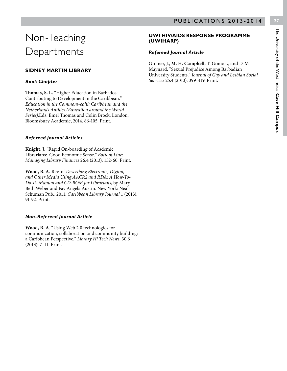### Non-Teaching Departments

#### **SIDNEY MARTIN LIBRARY**

#### *Book Chapter*

**Thomas, S. L.** "Higher Education in Barbados: Contributing to Development in the Caribbean." *Education in the Commonwealth Caribbean and the Netherlands Antilles.(Education around the World Series)*.Eds. Emel Thomas and Colin Brock. London: Bloomsbury Academic, 2014. 86-105. Print.

#### *Refereed Journal Articles*

**Knight, J.** "Rapid On-boarding of Academic Librarians: Good Economic Sense." *Bottom Line: Managing Library Finances* 26.4 (2013): 152-60. Print.

**Wood, B. A.** Rev. of *Describing Electronic, Digital, and Other Media Using AACR2 and RDA: A How-To-Do-It- Manual and CD-ROM for Librarians*, by Mary Beth Weber and Fay Angela Austin. New York: Neal-Schuman Pub., 2011. *Caribbean Library Journal* 1 (2013): 91-92. Print.

#### *Non-Refereed Journal Article*

**Wood, B. A**. "Using Web 2.0 technologies for communication, collaboration and community building: a Caribbean Perspective." *Library Hi Tech News*. 30.6 (2013): 7–11. Print.

#### **UWI HIV/AIDS RESPONSE PROGRAMME (UWIHARP)**

#### *Refereed Journal Article*

Gromer, J., **M. H. Campbell,** T. Gomory, and D-M Maynard. "Sexual Prejudice Among Barbadian University Students." *Journal of Gay and Lesbian Social Services* 25.4 (2013): 399-419. Print.